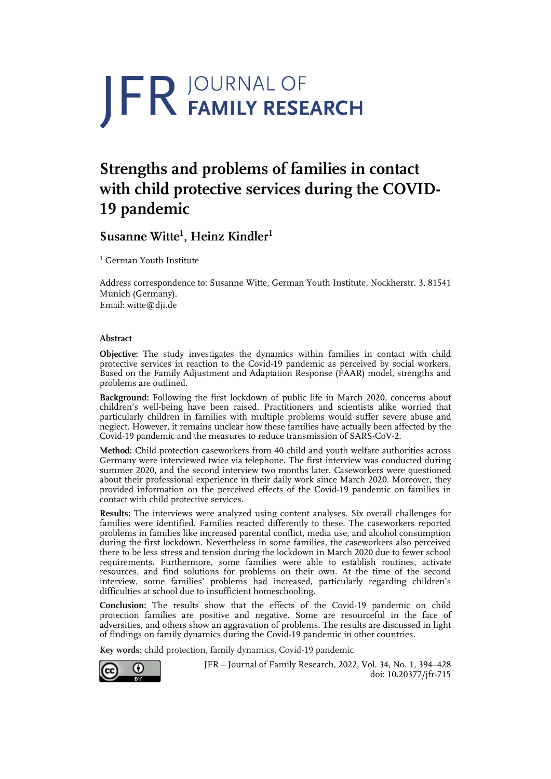# JFR JOURNAL OF

## **Strengths and problems of families in contact with child protective services during the COVID-19 pandemic**

### **Susanne Witte<sup>1</sup> , Heinz Kindler1**

<sup>1</sup> German Youth Institute

Address correspondence to: Susanne Witte, German Youth Institute, Nockherstr. 3, 81541 Munich (Germany). Email: witte@dji.de

#### **Abstract**

**Objective:** The study investigates the dynamics within families in contact with child protective services in reaction to the Covid-19 pandemic as perceived by social workers. Based on the Family Adjustment and Adaptation Response (FAAR) model, strengths and problems are outlined.

**Background:** Following the first lockdown of public life in March 2020, concerns about children's well-being have been raised. Practitioners and scientists alike worried that particularly children in families with multiple problems would suffer severe abuse and neglect. However, it remains unclear how these families have actually been affected by the Covid-19 pandemic and the measures to reduce transmission of SARS-CoV-2.

**Method:** Child protection caseworkers from 40 child and youth welfare authorities across Germany were interviewed twice via telephone. The first interview was conducted during summer 2020, and the second interview two months later. Caseworkers were questioned about their professional experience in their daily work since March 2020. Moreover, they provided information on the perceived effects of the Covid-19 pandemic on families in contact with child protective services.

**Results:** The interviews were analyzed using content analyses. Six overall challenges for families were identified. Families reacted differently to these. The caseworkers reported problems in families like increased parental conflict, media use, and alcohol consumption during the first lockdown. Nevertheless in some families, the caseworkers also perceived there to be less stress and tension during the lockdown in March 2020 due to fewer school requirements. Furthermore, some families were able to establish routines, activate resources, and find solutions for problems on their own. At the time of the second interview, some families' problems had increased, particularly regarding children's difficulties at school due to insufficient homeschooling.

**Conclusion:** The results show that the effects of the Covid-19 pandemic on child protection families are positive and negative. Some are resourceful in the face of adversities, and others show an aggravation of problems. The results are discussed in light of findings on family dynamics during the Covid-19 pandemic in other countries.

**Key words:** child protection, family dynamics, Covid-19 pandemic



JFR – Journal of Family Research, 2022, Vol. 34, No. 1, 394–428 doi: 10.20377/jfr-715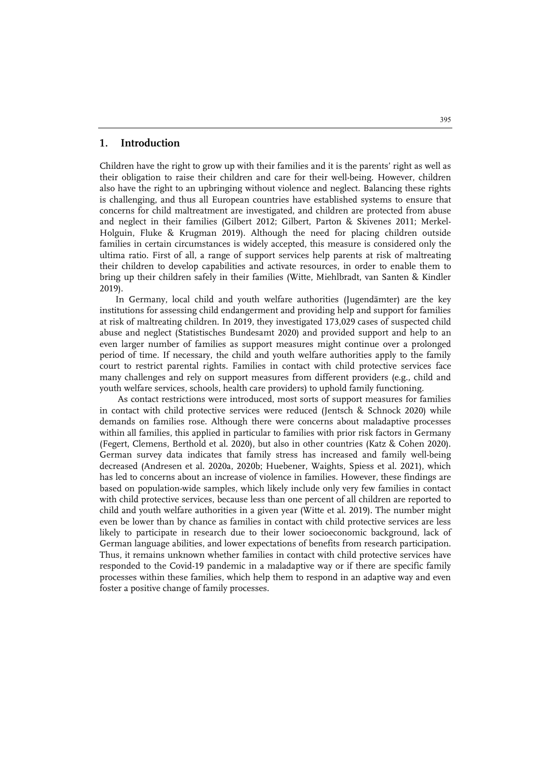#### **1. Introduction**

Children have the right to grow up with their families and it is the parents' right as well as their obligation to raise their children and care for their well-being. However, children also have the right to an upbringing without violence and neglect. Balancing these rights is challenging, and thus all European countries have established systems to ensure that concerns for child maltreatment are investigated, and children are protected from abuse and neglect in their families (Gilbert 2012; Gilbert, Parton & Skivenes 2011; Merkel-Holguin, Fluke & Krugman 2019). Although the need for placing children outside families in certain circumstances is widely accepted, this measure is considered only the ultima ratio. First of all, a range of support services help parents at risk of maltreating their children to develop capabilities and activate resources, in order to enable them to bring up their children safely in their families (Witte, Miehlbradt, van Santen & Kindler 2019).

In Germany, local child and youth welfare authorities (Jugendämter) are the key institutions for assessing child endangerment and providing help and support for families at risk of maltreating children. In 2019, they investigated 173,029 cases of suspected child abuse and neglect (Statistisches Bundesamt 2020) and provided support and help to an even larger number of families as support measures might continue over a prolonged period of time. If necessary, the child and youth welfare authorities apply to the family court to restrict parental rights. Families in contact with child protective services face many challenges and rely on support measures from different providers (e.g., child and youth welfare services, schools, health care providers) to uphold family functioning.

As contact restrictions were introduced, most sorts of support measures for families in contact with child protective services were reduced (Jentsch & Schnock 2020) while demands on families rose. Although there were concerns about maladaptive processes within all families, this applied in particular to families with prior risk factors in Germany (Fegert, Clemens, Berthold et al. 2020), but also in other countries (Katz & Cohen 2020). German survey data indicates that family stress has increased and family well-being decreased (Andresen et al. 2020a, 2020b; Huebener, Waights, Spiess et al. 2021), which has led to concerns about an increase of violence in families. However, these findings are based on population-wide samples, which likely include only very few families in contact with child protective services, because less than one percent of all children are reported to child and youth welfare authorities in a given year (Witte et al. 2019). The number might even be lower than by chance as families in contact with child protective services are less likely to participate in research due to their lower socioeconomic background, lack of German language abilities, and lower expectations of benefits from research participation. Thus, it remains unknown whether families in contact with child protective services have responded to the Covid-19 pandemic in a maladaptive way or if there are specific family processes within these families, which help them to respond in an adaptive way and even foster a positive change of family processes.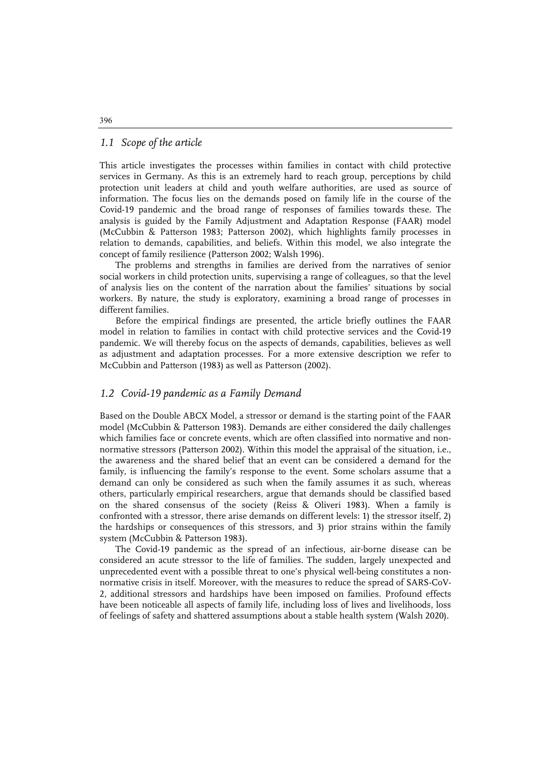#### *1.1 Scope of the article*

This article investigates the processes within families in contact with child protective services in Germany. As this is an extremely hard to reach group, perceptions by child protection unit leaders at child and youth welfare authorities, are used as source of information. The focus lies on the demands posed on family life in the course of the Covid-19 pandemic and the broad range of responses of families towards these. The analysis is guided by the Family Adjustment and Adaptation Response (FAAR) model (McCubbin & Patterson 1983; Patterson 2002), which highlights family processes in relation to demands, capabilities, and beliefs. Within this model, we also integrate the concept of family resilience (Patterson 2002; Walsh 1996).

The problems and strengths in families are derived from the narratives of senior social workers in child protection units, supervising a range of colleagues, so that the level of analysis lies on the content of the narration about the families' situations by social workers. By nature, the study is exploratory, examining a broad range of processes in different families.

Before the empirical findings are presented, the article briefly outlines the FAAR model in relation to families in contact with child protective services and the Covid-19 pandemic. We will thereby focus on the aspects of demands, capabilities, believes as well as adjustment and adaptation processes. For a more extensive description we refer to McCubbin and Patterson (1983) as well as Patterson (2002).

#### *1.2 Covid-19 pandemic as a Family Demand*

Based on the Double ABCX Model, a stressor or demand is the starting point of the FAAR model (McCubbin & Patterson 1983). Demands are either considered the daily challenges which families face or concrete events, which are often classified into normative and nonnormative stressors (Patterson 2002). Within this model the appraisal of the situation, i.e., the awareness and the shared belief that an event can be considered a demand for the family, is influencing the family's response to the event. Some scholars assume that a demand can only be considered as such when the family assumes it as such, whereas others, particularly empirical researchers, argue that demands should be classified based on the shared consensus of the society (Reiss & Oliveri 1983). When a family is confronted with a stressor, there arise demands on different levels: 1) the stressor itself, 2) the hardships or consequences of this stressors, and 3) prior strains within the family system (McCubbin & Patterson 1983).

The Covid-19 pandemic as the spread of an infectious, air-borne disease can be considered an acute stressor to the life of families. The sudden, largely unexpected and unprecedented event with a possible threat to one's physical well-being constitutes a nonnormative crisis in itself. Moreover, with the measures to reduce the spread of SARS-CoV-2, additional stressors and hardships have been imposed on families. Profound effects have been noticeable all aspects of family life, including loss of lives and livelihoods, loss of feelings of safety and shattered assumptions about a stable health system (Walsh 2020).

396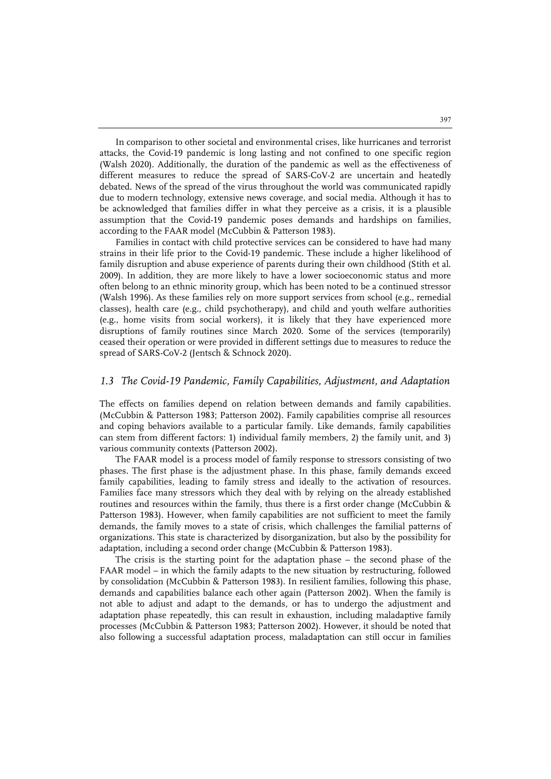In comparison to other societal and environmental crises, like hurricanes and terrorist attacks, the Covid-19 pandemic is long lasting and not confined to one specific region (Walsh 2020). Additionally, the duration of the pandemic as well as the effectiveness of different measures to reduce the spread of SARS-CoV-2 are uncertain and heatedly debated. News of the spread of the virus throughout the world was communicated rapidly due to modern technology, extensive news coverage, and social media. Although it has to be acknowledged that families differ in what they perceive as a crisis, it is a plausible assumption that the Covid-19 pandemic poses demands and hardships on families, according to the FAAR model (McCubbin & Patterson 1983).

Families in contact with child protective services can be considered to have had many strains in their life prior to the Covid-19 pandemic. These include a higher likelihood of family disruption and abuse experience of parents during their own childhood (Stith et al. 2009). In addition, they are more likely to have a lower socioeconomic status and more often belong to an ethnic minority group, which has been noted to be a continued stressor (Walsh 1996). As these families rely on more support services from school (e.g., remedial classes), health care (e.g., child psychotherapy), and child and youth welfare authorities (e.g., home visits from social workers), it is likely that they have experienced more disruptions of family routines since March 2020. Some of the services (temporarily) ceased their operation or were provided in different settings due to measures to reduce the spread of SARS-CoV-2 (Jentsch & Schnock 2020).

#### *1.3 The Covid-19 Pandemic, Family Capabilities, Adjustment, and Adaptation*

The effects on families depend on relation between demands and family capabilities. (McCubbin & Patterson 1983; Patterson 2002). Family capabilities comprise all resources and coping behaviors available to a particular family. Like demands, family capabilities can stem from different factors: 1) individual family members, 2) the family unit, and 3) various community contexts (Patterson 2002).

The FAAR model is a process model of family response to stressors consisting of two phases. The first phase is the adjustment phase. In this phase, family demands exceed family capabilities, leading to family stress and ideally to the activation of resources. Families face many stressors which they deal with by relying on the already established routines and resources within the family, thus there is a first order change (McCubbin & Patterson 1983). However, when family capabilities are not sufficient to meet the family demands, the family moves to a state of crisis, which challenges the familial patterns of organizations. This state is characterized by disorganization, but also by the possibility for adaptation, including a second order change (McCubbin & Patterson 1983).

The crisis is the starting point for the adaptation phase – the second phase of the FAAR model – in which the family adapts to the new situation by restructuring, followed by consolidation (McCubbin & Patterson 1983). In resilient families, following this phase, demands and capabilities balance each other again (Patterson 2002). When the family is not able to adjust and adapt to the demands, or has to undergo the adjustment and adaptation phase repeatedly, this can result in exhaustion, including maladaptive family processes (McCubbin & Patterson 1983; Patterson 2002). However, it should be noted that also following a successful adaptation process, maladaptation can still occur in families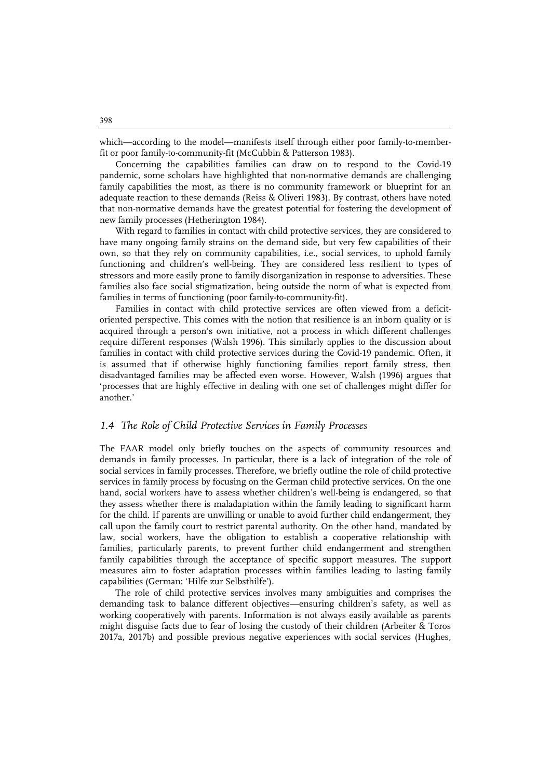which—according to the model—manifests itself through either poor family-to-memberfit or poor family-to-community-fit (McCubbin & Patterson 1983).

Concerning the capabilities families can draw on to respond to the Covid-19 pandemic, some scholars have highlighted that non-normative demands are challenging family capabilities the most, as there is no community framework or blueprint for an adequate reaction to these demands (Reiss & Oliveri 1983). By contrast, others have noted that non-normative demands have the greatest potential for fostering the development of new family processes (Hetherington 1984).

With regard to families in contact with child protective services, they are considered to have many ongoing family strains on the demand side, but very few capabilities of their own, so that they rely on community capabilities, i.e., social services, to uphold family functioning and children's well-being. They are considered less resilient to types of stressors and more easily prone to family disorganization in response to adversities. These families also face social stigmatization, being outside the norm of what is expected from families in terms of functioning (poor family-to-community-fit).

Families in contact with child protective services are often viewed from a deficitoriented perspective. This comes with the notion that resilience is an inborn quality or is acquired through a person's own initiative, not a process in which different challenges require different responses (Walsh 1996). This similarly applies to the discussion about families in contact with child protective services during the Covid-19 pandemic. Often, it is assumed that if otherwise highly functioning families report family stress, then disadvantaged families may be affected even worse. However, Walsh (1996) argues that 'processes that are highly effective in dealing with one set of challenges might differ for another.'

#### *1.4 The Role of Child Protective Services in Family Processes*

The FAAR model only briefly touches on the aspects of community resources and demands in family processes. In particular, there is a lack of integration of the role of social services in family processes. Therefore, we briefly outline the role of child protective services in family process by focusing on the German child protective services. On the one hand, social workers have to assess whether children's well-being is endangered, so that they assess whether there is maladaptation within the family leading to significant harm for the child. If parents are unwilling or unable to avoid further child endangerment, they call upon the family court to restrict parental authority. On the other hand, mandated by law, social workers, have the obligation to establish a cooperative relationship with families, particularly parents, to prevent further child endangerment and strengthen family capabilities through the acceptance of specific support measures. The support measures aim to foster adaptation processes within families leading to lasting family capabilities (German: 'Hilfe zur Selbsthilfe').

The role of child protective services involves many ambiguities and comprises the demanding task to balance different objectives—ensuring children's safety, as well as working cooperatively with parents. Information is not always easily available as parents might disguise facts due to fear of losing the custody of their children (Arbeiter & Toros 2017a, 2017b) and possible previous negative experiences with social services (Hughes,

398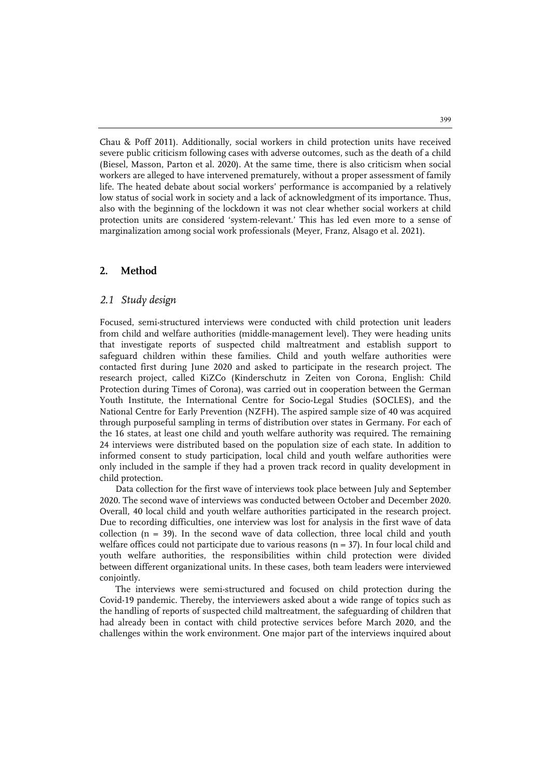Chau & Poff 2011). Additionally, social workers in child protection units have received severe public criticism following cases with adverse outcomes, such as the death of a child (Biesel, Masson, Parton et al. 2020). At the same time, there is also criticism when social workers are alleged to have intervened prematurely, without a proper assessment of family life. The heated debate about social workers' performance is accompanied by a relatively low status of social work in society and a lack of acknowledgment of its importance. Thus, also with the beginning of the lockdown it was not clear whether social workers at child protection units are considered 'system-relevant.' This has led even more to a sense of marginalization among social work professionals (Meyer, Franz, Alsago et al. 2021).

#### **2. Method**

#### *2.1 Study design*

Focused, semi-structured interviews were conducted with child protection unit leaders from child and welfare authorities (middle-management level). They were heading units that investigate reports of suspected child maltreatment and establish support to safeguard children within these families. Child and youth welfare authorities were contacted first during June 2020 and asked to participate in the research project. The research project, called KiZCo (Kinderschutz in Zeiten von Corona, English: Child Protection during Times of Corona), was carried out in cooperation between the German Youth Institute, the International Centre for Socio-Legal Studies (SOCLES), and the National Centre for Early Prevention (NZFH). The aspired sample size of 40 was acquired through purposeful sampling in terms of distribution over states in Germany. For each of the 16 states, at least one child and youth welfare authority was required. The remaining 24 interviews were distributed based on the population size of each state. In addition to informed consent to study participation, local child and youth welfare authorities were only included in the sample if they had a proven track record in quality development in child protection.

Data collection for the first wave of interviews took place between July and September 2020. The second wave of interviews was conducted between October and December 2020. Overall, 40 local child and youth welfare authorities participated in the research project. Due to recording difficulties, one interview was lost for analysis in the first wave of data collection ( $n = 39$ ). In the second wave of data collection, three local child and youth welfare offices could not participate due to various reasons ( $n = 37$ ). In four local child and youth welfare authorities, the responsibilities within child protection were divided between different organizational units. In these cases, both team leaders were interviewed conjointly.

The interviews were semi-structured and focused on child protection during the Covid-19 pandemic. Thereby, the interviewers asked about a wide range of topics such as the handling of reports of suspected child maltreatment, the safeguarding of children that had already been in contact with child protective services before March 2020, and the challenges within the work environment. One major part of the interviews inquired about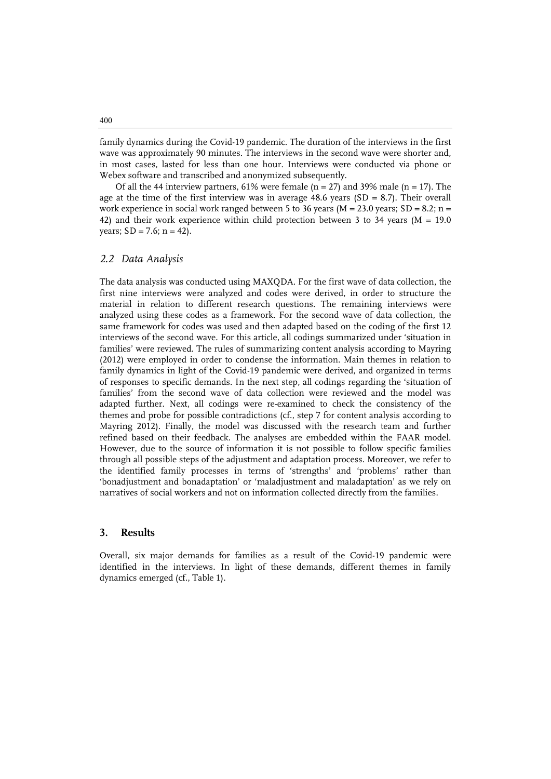family dynamics during the Covid-19 pandemic. The duration of the interviews in the first wave was approximately 90 minutes. The interviews in the second wave were shorter and, in most cases, lasted for less than one hour. Interviews were conducted via phone or Webex software and transcribed and anonymized subsequently.

Of all the 44 interview partners,  $61\%$  were female (n = 27) and 39% male (n = 17). The age at the time of the first interview was in average  $48.6$  years  $(SD = 8.7)$ . Their overall work experience in social work ranged between 5 to 36 years ( $M = 23.0$  years; SD = 8.2; n = 42) and their work experience within child protection between 3 to 34 years ( $M = 19.0$ ) years;  $SD = 7.6$ ;  $n = 42$ ).

#### *2.2 Data Analysis*

The data analysis was conducted using MAXQDA. For the first wave of data collection, the first nine interviews were analyzed and codes were derived, in order to structure the material in relation to different research questions. The remaining interviews were analyzed using these codes as a framework. For the second wave of data collection, the same framework for codes was used and then adapted based on the coding of the first 12 interviews of the second wave. For this article, all codings summarized under 'situation in families' were reviewed. The rules of summarizing content analysis according to Mayring (2012) were employed in order to condense the information. Main themes in relation to family dynamics in light of the Covid-19 pandemic were derived, and organized in terms of responses to specific demands. In the next step, all codings regarding the 'situation of families' from the second wave of data collection were reviewed and the model was adapted further. Next, all codings were re-examined to check the consistency of the themes and probe for possible contradictions (cf., step 7 for content analysis according to Mayring 2012). Finally, the model was discussed with the research team and further refined based on their feedback. The analyses are embedded within the FAAR model. However, due to the source of information it is not possible to follow specific families through all possible steps of the adjustment and adaptation process. Moreover, we refer to the identified family processes in terms of 'strengths' and 'problems' rather than 'bonadjustment and bonadaptation' or 'maladjustment and maladaptation' as we rely on narratives of social workers and not on information collected directly from the families.

#### **3. Results**

Overall, six major demands for families as a result of the Covid-19 pandemic were identified in the interviews. In light of these demands, different themes in family dynamics emerged (cf., Table 1).

400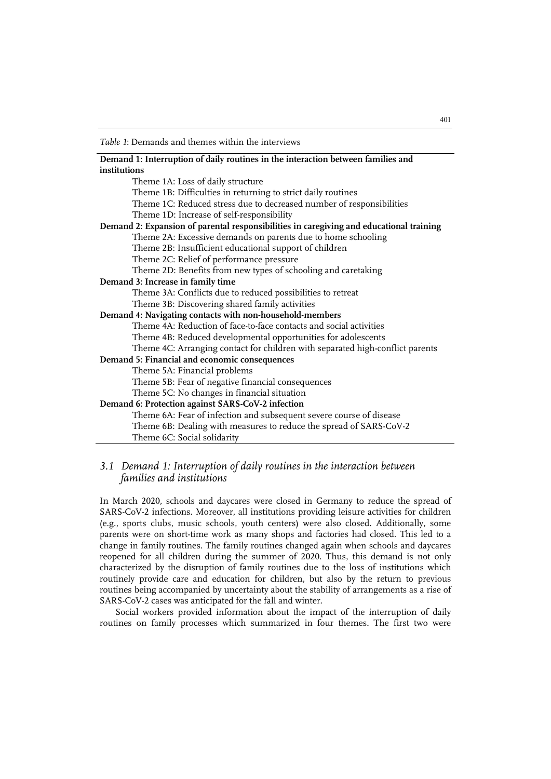*Table 1*: Demands and themes within the interviews

| Demand 1: Interruption of daily routines in the interaction between families and        |
|-----------------------------------------------------------------------------------------|
| institutions                                                                            |
| Theme 1A: Loss of daily structure                                                       |
| Theme 1B: Difficulties in returning to strict daily routines                            |
| Theme 1C: Reduced stress due to decreased number of responsibilities                    |
| Theme 1D: Increase of self-responsibility                                               |
| Demand 2: Expansion of parental responsibilities in caregiving and educational training |
| Theme 2A: Excessive demands on parents due to home schooling                            |
| Theme 2B: Insufficient educational support of children                                  |
| Theme 2C: Relief of performance pressure                                                |
| Theme 2D: Benefits from new types of schooling and caretaking                           |
| Demand 3: Increase in family time                                                       |
| Theme 3A: Conflicts due to reduced possibilities to retreat                             |
| Theme 3B: Discovering shared family activities                                          |
| Demand 4: Navigating contacts with non-household-members                                |
| Theme 4A: Reduction of face-to-face contacts and social activities                      |
| Theme 4B: Reduced developmental opportunities for adolescents                           |
| Theme 4C: Arranging contact for children with separated high-conflict parents           |
| Demand 5: Financial and economic consequences                                           |
| Theme 5A: Financial problems                                                            |
| Theme 5B: Fear of negative financial consequences                                       |
| Theme 5C: No changes in financial situation                                             |
| Demand 6: Protection against SARS-CoV-2 infection                                       |
| Theme 6A: Fear of infection and subsequent severe course of disease                     |
| Theme 6B: Dealing with measures to reduce the spread of SARS-CoV-2                      |
| Theme 6C: Social solidarity                                                             |

#### *3.1 Demand 1: Interruption of daily routines in the interaction between families and institutions*

In March 2020, schools and daycares were closed in Germany to reduce the spread of SARS-CoV-2 infections. Moreover, all institutions providing leisure activities for children (e.g., sports clubs, music schools, youth centers) were also closed. Additionally, some parents were on short-time work as many shops and factories had closed. This led to a change in family routines. The family routines changed again when schools and daycares reopened for all children during the summer of 2020. Thus, this demand is not only characterized by the disruption of family routines due to the loss of institutions which routinely provide care and education for children, but also by the return to previous routines being accompanied by uncertainty about the stability of arrangements as a rise of SARS-CoV-2 cases was anticipated for the fall and winter.

Social workers provided information about the impact of the interruption of daily routines on family processes which summarized in four themes. The first two were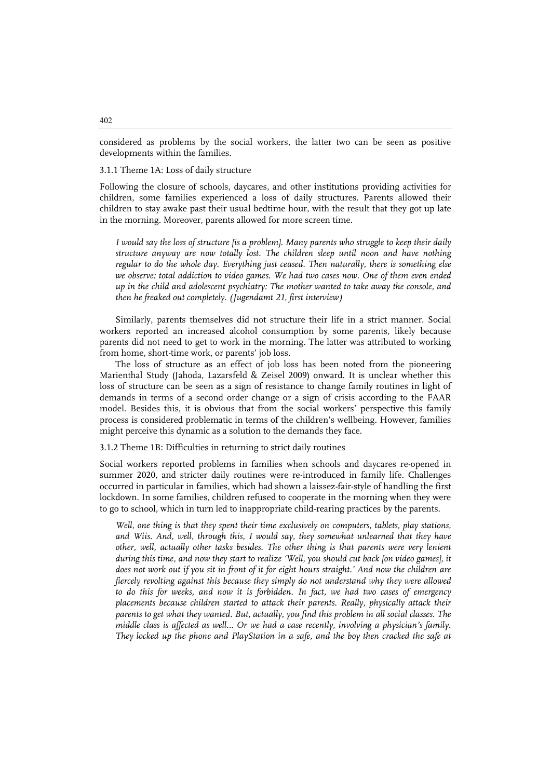considered as problems by the social workers, the latter two can be seen as positive developments within the families.

#### 3.1.1 Theme 1A: Loss of daily structure

Following the closure of schools, daycares, and other institutions providing activities for children, some families experienced a loss of daily structures. Parents allowed their children to stay awake past their usual bedtime hour, with the result that they got up late in the morning. Moreover, parents allowed for more screen time.

*I would say the loss of structure [is a problem]. Many parents who struggle to keep their daily structure anyway are now totally lost. The children sleep until noon and have nothing regular to do the whole day. Everything just ceased. Then naturally, there is something else we observe: total addiction to video games. We had two cases now. One of them even ended up in the child and adolescent psychiatry: The mother wanted to take away the console, and then he freaked out completely. (Jugendamt 21, first interview)*

Similarly, parents themselves did not structure their life in a strict manner. Social workers reported an increased alcohol consumption by some parents, likely because parents did not need to get to work in the morning. The latter was attributed to working from home, short-time work, or parents' job loss.

The loss of structure as an effect of job loss has been noted from the pioneering Marienthal Study (Jahoda, Lazarsfeld & Zeisel 2009) onward. It is unclear whether this loss of structure can be seen as a sign of resistance to change family routines in light of demands in terms of a second order change or a sign of crisis according to the FAAR model. Besides this, it is obvious that from the social workers' perspective this family process is considered problematic in terms of the children's wellbeing. However, families might perceive this dynamic as a solution to the demands they face.

3.1.2 Theme 1B: Difficulties in returning to strict daily routines

Social workers reported problems in families when schools and daycares re-opened in summer 2020, and stricter daily routines were re-introduced in family life. Challenges occurred in particular in families, which had shown a laissez-fair-style of handling the first lockdown. In some families, children refused to cooperate in the morning when they were to go to school, which in turn led to inappropriate child-rearing practices by the parents.

*Well, one thing is that they spent their time exclusively on computers, tablets, play stations, and Wiis. And, well, through this, I would say, they somewhat unlearned that they have other, well, actually other tasks besides. The other thing is that parents were very lenient during this time, and now they start to realize 'Well, you should cut back [on video games], it does not work out if you sit in front of it for eight hours straight.' And now the children are fiercely revolting against this because they simply do not understand why they were allowed to do this for weeks, and now it is forbidden. In fact, we had two cases of emergency placements because children started to attack their parents. Really, physically attack their parents to get what they wanted. But, actually, you find this problem in all social classes. The middle class is affected as well… Or we had a case recently, involving a physician's family. They locked up the phone and PlayStation in a safe, and the boy then cracked the safe at*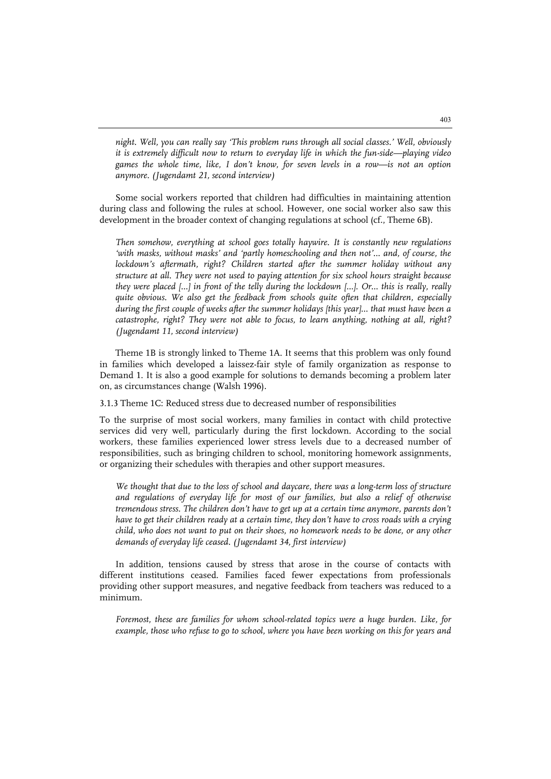*night. Well, you can really say 'This problem runs through all social classes.' Well, obviously it is extremely difficult now to return to everyday life in which the fun-side—playing video games the whole time, like, I don't know, for seven levels in a row—is not an option anymore. (Jugendamt 21, second interview)*

Some social workers reported that children had difficulties in maintaining attention during class and following the rules at school. However, one social worker also saw this development in the broader context of changing regulations at school (cf., Theme 6B).

*Then somehow, everything at school goes totally haywire. It is constantly new regulations 'with masks, without masks' and 'partly homeschooling and then not'… and, of course, the lockdown's aftermath, right? Children started after the summer holiday without any structure at all. They were not used to paying attention for six school hours straight because they were placed […] in front of the telly during the lockdown […]. Or… this is really, really quite obvious. We also get the feedback from schools quite often that children, especially during the first couple of weeks after the summer holidays [this year]… that must have been a catastrophe, right? They were not able to focus, to learn anything, nothing at all, right? (Jugendamt 11, second interview)*

Theme 1B is strongly linked to Theme 1A. It seems that this problem was only found in families which developed a laissez-fair style of family organization as response to Demand 1. It is also a good example for solutions to demands becoming a problem later on, as circumstances change (Walsh 1996).

3.1.3 Theme 1C: Reduced stress due to decreased number of responsibilities

To the surprise of most social workers, many families in contact with child protective services did very well, particularly during the first lockdown. According to the social workers, these families experienced lower stress levels due to a decreased number of responsibilities, such as bringing children to school, monitoring homework assignments, or organizing their schedules with therapies and other support measures.

*We thought that due to the loss of school and daycare, there was a long-term loss of structure and regulations of everyday life for most of our families, but also a relief of otherwise tremendous stress. The children don't have to get up at a certain time anymore, parents don't have to get their children ready at a certain time, they don't have to cross roads with a crying child, who does not want to put on their shoes, no homework needs to be done, or any other demands of everyday life ceased. (Jugendamt 34, first interview)*

In addition, tensions caused by stress that arose in the course of contacts with different institutions ceased. Families faced fewer expectations from professionals providing other support measures, and negative feedback from teachers was reduced to a minimum.

*Foremost, these are families for whom school-related topics were a huge burden. Like, for example, those who refuse to go to school, where you have been working on this for years and*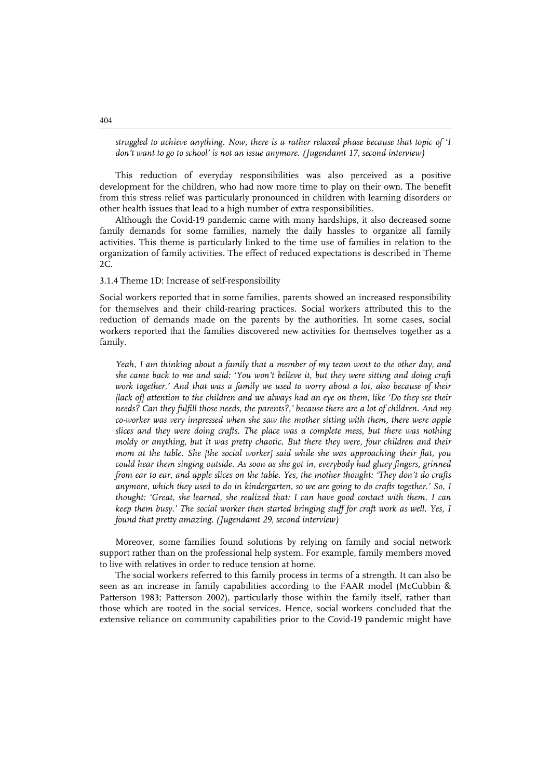*struggled to achieve anything. Now, there is a rather relaxed phase because that topic of 'I don't want to go to school' is not an issue anymore. (Jugendamt 17, second interview)*

This reduction of everyday responsibilities was also perceived as a positive development for the children, who had now more time to play on their own. The benefit from this stress relief was particularly pronounced in children with learning disorders or other health issues that lead to a high number of extra responsibilities.

Although the Covid-19 pandemic came with many hardships, it also decreased some family demands for some families, namely the daily hassles to organize all family activities. This theme is particularly linked to the time use of families in relation to the organization of family activities. The effect of reduced expectations is described in Theme 2C.

#### 3.1.4 Theme 1D: Increase of self-responsibility

Social workers reported that in some families, parents showed an increased responsibility for themselves and their child-rearing practices. Social workers attributed this to the reduction of demands made on the parents by the authorities. In some cases, social workers reported that the families discovered new activities for themselves together as a family.

*Yeah, I am thinking about a family that a member of my team went to the other day, and she came back to me and said: 'You won't believe it, but they were sitting and doing craft work together.' And that was a family we used to worry about a lot, also because of their [lack of] attention to the children and we always had an eye on them, like 'Do they see their needs? Can they fulfill those needs, the parents?,' because there are a lot of children. And my co-worker was very impressed when she saw the mother sitting with them, there were apple slices and they were doing crafts. The place was a complete mess, but there was nothing moldy or anything, but it was pretty chaotic. But there they were, four children and their mom at the table. She [the social worker] said while she was approaching their flat, you could hear them singing outside. As soon as she got in, everybody had gluey fingers, grinned from ear to ear, and apple slices on the table. Yes, the mother thought: 'They don't do crafts anymore, which they used to do in kindergarten, so we are going to do crafts together.' So, I thought: 'Great, she learned, she realized that: I can have good contact with them. I can keep them busy.' The social worker then started bringing stuff for craft work as well. Yes, I found that pretty amazing. (Jugendamt 29, second interview)*

Moreover, some families found solutions by relying on family and social network support rather than on the professional help system. For example, family members moved to live with relatives in order to reduce tension at home.

The social workers referred to this family process in terms of a strength. It can also be seen as an increase in family capabilities according to the FAAR model (McCubbin & Patterson 1983; Patterson 2002), particularly those within the family itself, rather than those which are rooted in the social services. Hence, social workers concluded that the extensive reliance on community capabilities prior to the Covid-19 pandemic might have

#### 404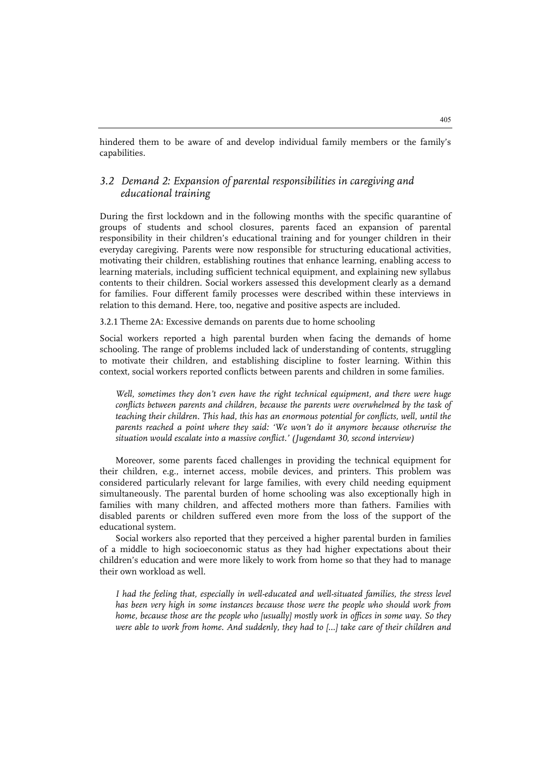hindered them to be aware of and develop individual family members or the family's capabilities.

#### *3.2 Demand 2: Expansion of parental responsibilities in caregiving and educational training*

During the first lockdown and in the following months with the specific quarantine of groups of students and school closures, parents faced an expansion of parental responsibility in their children's educational training and for younger children in their everyday caregiving. Parents were now responsible for structuring educational activities, motivating their children, establishing routines that enhance learning, enabling access to learning materials, including sufficient technical equipment, and explaining new syllabus contents to their children. Social workers assessed this development clearly as a demand for families. Four different family processes were described within these interviews in relation to this demand. Here, too, negative and positive aspects are included.

3.2.1 Theme 2A: Excessive demands on parents due to home schooling

Social workers reported a high parental burden when facing the demands of home schooling. The range of problems included lack of understanding of contents, struggling to motivate their children, and establishing discipline to foster learning. Within this context, social workers reported conflicts between parents and children in some families.

*Well, sometimes they don't even have the right technical equipment, and there were huge conflicts between parents and children, because the parents were overwhelmed by the task of teaching their children. This had, this has an enormous potential for conflicts, well, until the parents reached a point where they said: 'We won't do it anymore because otherwise the situation would escalate into a massive conflict.' (Jugendamt 30, second interview)*

Moreover, some parents faced challenges in providing the technical equipment for their children, e.g., internet access, mobile devices, and printers. This problem was considered particularly relevant for large families, with every child needing equipment simultaneously. The parental burden of home schooling was also exceptionally high in families with many children, and affected mothers more than fathers. Families with disabled parents or children suffered even more from the loss of the support of the educational system.

Social workers also reported that they perceived a higher parental burden in families of a middle to high socioeconomic status as they had higher expectations about their children's education and were more likely to work from home so that they had to manage their own workload as well.

*I had the feeling that, especially in well-educated and well-situated families, the stress level has been very high in some instances because those were the people who should work from home, because those are the people who [usually] mostly work in offices in some way. So they were able to work from home. And suddenly, they had to […] take care of their children and*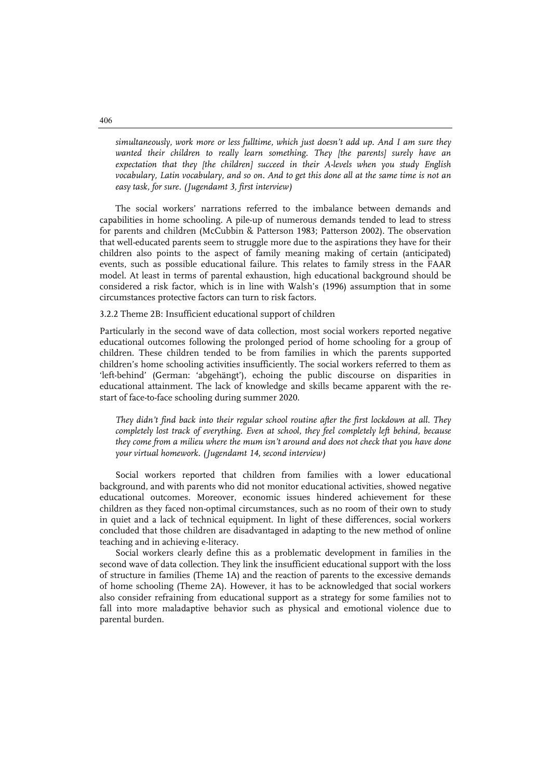*simultaneously, work more or less fulltime, which just doesn't add up. And I am sure they wanted their children to really learn something. They [the parents] surely have an expectation that they [the children] succeed in their A-levels when you study English vocabulary, Latin vocabulary, and so on. And to get this done all at the same time is not an easy task, for sure. (Jugendamt 3, first interview)*

The social workers' narrations referred to the imbalance between demands and capabilities in home schooling. A pile-up of numerous demands tended to lead to stress for parents and children (McCubbin & Patterson 1983; Patterson 2002). The observation that well-educated parents seem to struggle more due to the aspirations they have for their children also points to the aspect of family meaning making of certain (anticipated) events, such as possible educational failure. This relates to family stress in the FAAR model. At least in terms of parental exhaustion, high educational background should be considered a risk factor, which is in line with Walsh's (1996) assumption that in some circumstances protective factors can turn to risk factors.

#### 3.2.2 Theme 2B: Insufficient educational support of children

Particularly in the second wave of data collection, most social workers reported negative educational outcomes following the prolonged period of home schooling for a group of children. These children tended to be from families in which the parents supported children's home schooling activities insufficiently. The social workers referred to them as 'left-behind' (German: 'abgehängt'), echoing the public discourse on disparities in educational attainment. The lack of knowledge and skills became apparent with the restart of face-to-face schooling during summer 2020.

*They didn't find back into their regular school routine after the first lockdown at all. They completely lost track of everything. Even at school, they feel completely left behind, because they come from a milieu where the mum isn't around and does not check that you have done your virtual homework. (Jugendamt 14, second interview)*

Social workers reported that children from families with a lower educational background, and with parents who did not monitor educational activities, showed negative educational outcomes. Moreover, economic issues hindered achievement for these children as they faced non-optimal circumstances, such as no room of their own to study in quiet and a lack of technical equipment. In light of these differences, social workers concluded that those children are disadvantaged in adapting to the new method of online teaching and in achieving e-literacy.

Social workers clearly define this as a problematic development in families in the second wave of data collection. They link the insufficient educational support with the loss of structure in families (Theme 1A) and the reaction of parents to the excessive demands of home schooling (Theme 2A). However, it has to be acknowledged that social workers also consider refraining from educational support as a strategy for some families not to fall into more maladaptive behavior such as physical and emotional violence due to parental burden.

406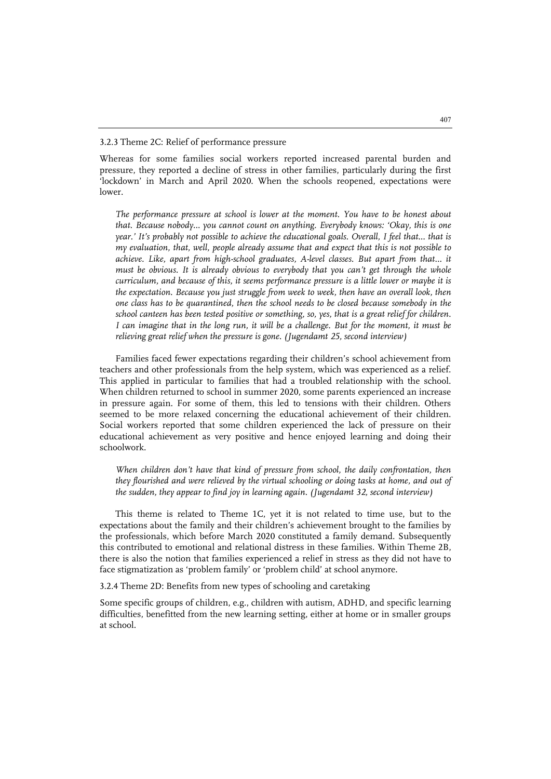#### 3.2.3 Theme 2C: Relief of performance pressure

Whereas for some families social workers reported increased parental burden and pressure, they reported a decline of stress in other families, particularly during the first 'lockdown' in March and April 2020. When the schools reopened, expectations were lower.

*The performance pressure at school is lower at the moment. You have to be honest about that. Because nobody… you cannot count on anything. Everybody knows: 'Okay, this is one year.' It's probably not possible to achieve the educational goals. Overall, I feel that... that is my evaluation, that, well, people already assume that and expect that this is not possible to achieve. Like, apart from high-school graduates, A-level classes. But apart from that... it must be obvious. It is already obvious to everybody that you can't get through the whole curriculum, and because of this, it seems performance pressure is a little lower or maybe it is the expectation. Because you just struggle from week to week, then have an overall look, then one class has to be quarantined, then the school needs to be closed because somebody in the school canteen has been tested positive or something, so, yes, that is a great relief for children. I can imagine that in the long run, it will be a challenge. But for the moment, it must be relieving great relief when the pressure is gone. (Jugendamt 25, second interview)*

Families faced fewer expectations regarding their children's school achievement from teachers and other professionals from the help system, which was experienced as a relief. This applied in particular to families that had a troubled relationship with the school. When children returned to school in summer 2020, some parents experienced an increase in pressure again. For some of them, this led to tensions with their children. Others seemed to be more relaxed concerning the educational achievement of their children. Social workers reported that some children experienced the lack of pressure on their educational achievement as very positive and hence enjoyed learning and doing their schoolwork.

*When children don't have that kind of pressure from school, the daily confrontation, then they flourished and were relieved by the virtual schooling or doing tasks at home, and out of the sudden, they appear to find joy in learning again. (Jugendamt 32, second interview)*

This theme is related to Theme 1C, yet it is not related to time use, but to the expectations about the family and their children's achievement brought to the families by the professionals, which before March 2020 constituted a family demand. Subsequently this contributed to emotional and relational distress in these families. Within Theme 2B, there is also the notion that families experienced a relief in stress as they did not have to face stigmatization as 'problem family' or 'problem child' at school anymore.

3.2.4 Theme 2D: Benefits from new types of schooling and caretaking

Some specific groups of children, e.g., children with autism, ADHD, and specific learning difficulties, benefitted from the new learning setting, either at home or in smaller groups at school.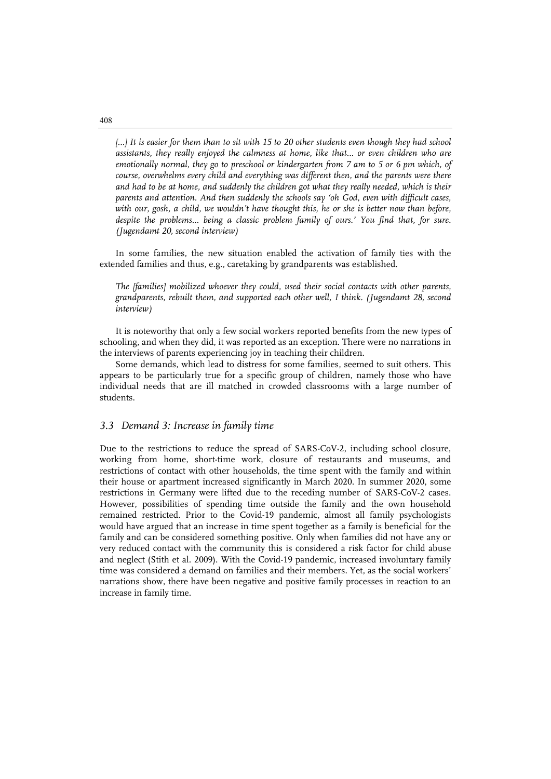[...] It is easier for them than to sit with 15 to 20 other students even though they had school *assistants, they really enjoyed the calmness at home, like that… or even children who are emotionally normal, they go to preschool or kindergarten from 7 am to 5 or 6 pm which, of course, overwhelms every child and everything was different then, and the parents were there*  and had to be at home, and suddenly the children got what they really needed, which is their *parents and attention. And then suddenly the schools say 'oh God, even with difficult cases, with our, gosh, a child, we wouldn't have thought this, he or she is better now than before,*  despite the problems... being a classic problem family of ours.' You find that, for sure. *(Jugendamt 20, second interview)*

In some families, the new situation enabled the activation of family ties with the extended families and thus, e.g., caretaking by grandparents was established.

*The [families] mobilized whoever they could, used their social contacts with other parents, grandparents, rebuilt them, and supported each other well, I think. (Jugendamt 28, second interview)*

It is noteworthy that only a few social workers reported benefits from the new types of schooling, and when they did, it was reported as an exception. There were no narrations in the interviews of parents experiencing joy in teaching their children.

Some demands, which lead to distress for some families, seemed to suit others. This appears to be particularly true for a specific group of children, namely those who have individual needs that are ill matched in crowded classrooms with a large number of students.

#### *3.3 Demand 3: Increase in family time*

Due to the restrictions to reduce the spread of SARS-CoV-2, including school closure, working from home, short-time work, closure of restaurants and museums, and restrictions of contact with other households, the time spent with the family and within their house or apartment increased significantly in March 2020. In summer 2020, some restrictions in Germany were lifted due to the receding number of SARS-CoV-2 cases. However, possibilities of spending time outside the family and the own household remained restricted. Prior to the Covid-19 pandemic, almost all family psychologists would have argued that an increase in time spent together as a family is beneficial for the family and can be considered something positive. Only when families did not have any or very reduced contact with the community this is considered a risk factor for child abuse and neglect (Stith et al. 2009). With the Covid-19 pandemic, increased involuntary family time was considered a demand on families and their members. Yet, as the social workers' narrations show, there have been negative and positive family processes in reaction to an increase in family time.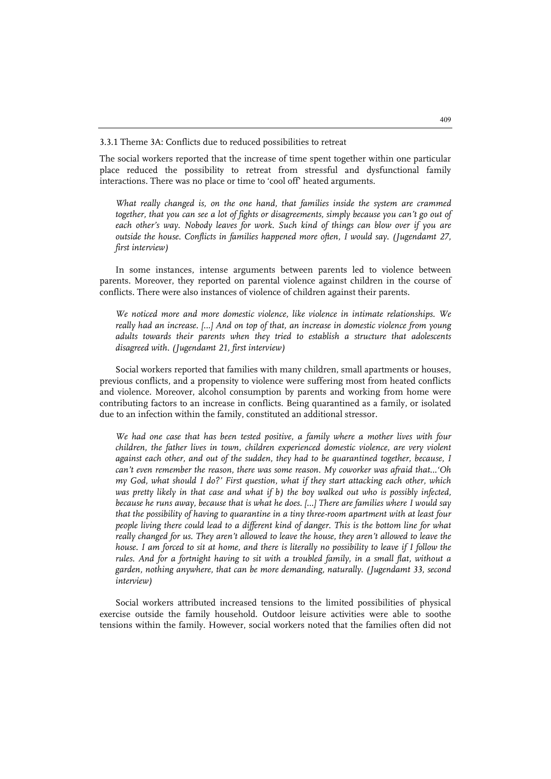3.3.1 Theme 3A: Conflicts due to reduced possibilities to retreat

The social workers reported that the increase of time spent together within one particular place reduced the possibility to retreat from stressful and dysfunctional family interactions. There was no place or time to 'cool off' heated arguments.

*What really changed is, on the one hand, that families inside the system are crammed together, that you can see a lot of fights or disagreements, simply because you can't go out of each other's way. Nobody leaves for work. Such kind of things can blow over if you are outside the house. Conflicts in families happened more often, I would say. (Jugendamt 27, first interview)*

In some instances, intense arguments between parents led to violence between parents. Moreover, they reported on parental violence against children in the course of conflicts. There were also instances of violence of children against their parents.

*We noticed more and more domestic violence, like violence in intimate relationships. We really had an increase. […] And on top of that, an increase in domestic violence from young adults towards their parents when they tried to establish a structure that adolescents disagreed with. (Jugendamt 21, first interview)*

Social workers reported that families with many children, small apartments or houses, previous conflicts, and a propensity to violence were suffering most from heated conflicts and violence. Moreover, alcohol consumption by parents and working from home were contributing factors to an increase in conflicts. Being quarantined as a family, or isolated due to an infection within the family, constituted an additional stressor.

We had one case that has been tested positive, a family where a mother lives with four *children, the father lives in town, children experienced domestic violence, are very violent against each other, and out of the sudden, they had to be quarantined together, because, I can't even remember the reason, there was some reason. My coworker was afraid that…'Oh my God, what should I do?' First question, what if they start attacking each other, which*  was pretty likely in that case and what if b) the boy walked out who is possibly infected, *because he runs away, because that is what he does. […] There are families where I would say that the possibility of having to quarantine in a tiny three-room apartment with at least four people living there could lead to a different kind of danger. This is the bottom line for what really changed for us. They aren't allowed to leave the house, they aren't allowed to leave the house. I am forced to sit at home, and there is literally no possibility to leave if I follow the rules. And for a fortnight having to sit with a troubled family, in a small flat, without a garden, nothing anywhere, that can be more demanding, naturally. (Jugendamt 33, second interview)*

Social workers attributed increased tensions to the limited possibilities of physical exercise outside the family household. Outdoor leisure activities were able to soothe tensions within the family. However, social workers noted that the families often did not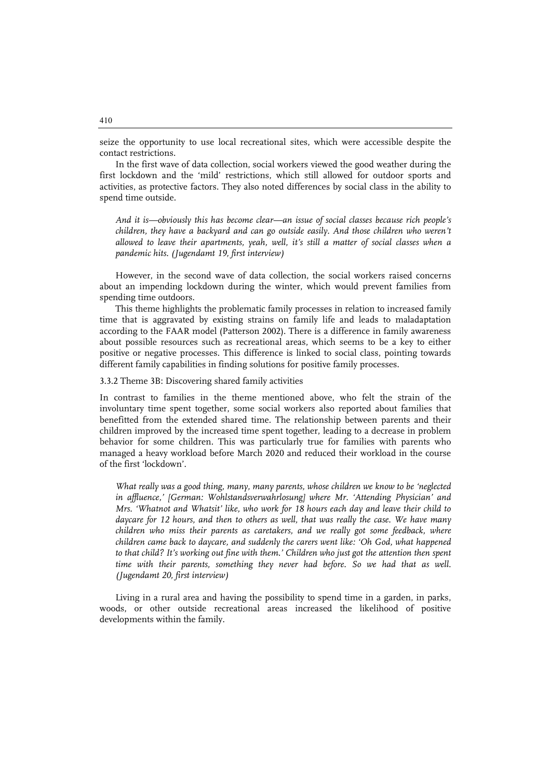seize the opportunity to use local recreational sites, which were accessible despite the contact restrictions.

In the first wave of data collection, social workers viewed the good weather during the first lockdown and the 'mild' restrictions, which still allowed for outdoor sports and activities, as protective factors. They also noted differences by social class in the ability to spend time outside.

*And it is—obviously this has become clear—an issue of social classes because rich people's children, they have a backyard and can go outside easily. And those children who weren't allowed to leave their apartments, yeah, well, it's still a matter of social classes when a pandemic hits. (Jugendamt 19, first interview)*

However, in the second wave of data collection, the social workers raised concerns about an impending lockdown during the winter, which would prevent families from spending time outdoors.

This theme highlights the problematic family processes in relation to increased family time that is aggravated by existing strains on family life and leads to maladaptation according to the FAAR model (Patterson 2002). There is a difference in family awareness about possible resources such as recreational areas, which seems to be a key to either positive or negative processes. This difference is linked to social class, pointing towards different family capabilities in finding solutions for positive family processes.

3.3.2 Theme 3B: Discovering shared family activities

In contrast to families in the theme mentioned above, who felt the strain of the involuntary time spent together, some social workers also reported about families that benefitted from the extended shared time. The relationship between parents and their children improved by the increased time spent together, leading to a decrease in problem behavior for some children. This was particularly true for families with parents who managed a heavy workload before March 2020 and reduced their workload in the course of the first 'lockdown'.

*What really was a good thing, many, many parents, whose children we know to be 'neglected in affluence,' [German: Wohlstandsverwahrlosung] where Mr. 'Attending Physician' and Mrs. 'Whatnot and Whatsit' like, who work for 18 hours each day and leave their child to daycare for 12 hours, and then to others as well, that was really the case. We have many children who miss their parents as caretakers, and we really got some feedback, where children came back to daycare, and suddenly the carers went like: 'Oh God, what happened to that child? It's working out fine with them.' Children who just got the attention then spent*  time with their parents, something they never had before. So we had that as well. *(Jugendamt 20, first interview)*

Living in a rural area and having the possibility to spend time in a garden, in parks, woods, or other outside recreational areas increased the likelihood of positive developments within the family.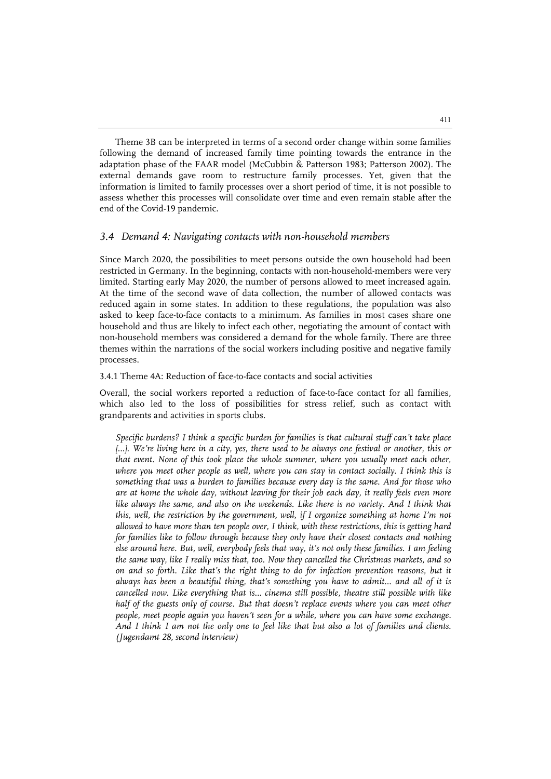Theme 3B can be interpreted in terms of a second order change within some families following the demand of increased family time pointing towards the entrance in the adaptation phase of the FAAR model (McCubbin & Patterson 1983; Patterson 2002). The external demands gave room to restructure family processes. Yet, given that the information is limited to family processes over a short period of time, it is not possible to assess whether this processes will consolidate over time and even remain stable after the end of the Covid-19 pandemic.

#### *3.4 Demand 4: Navigating contacts with non-household members*

Since March 2020, the possibilities to meet persons outside the own household had been restricted in Germany. In the beginning, contacts with non-household-members were very limited. Starting early May 2020, the number of persons allowed to meet increased again. At the time of the second wave of data collection, the number of allowed contacts was reduced again in some states. In addition to these regulations, the population was also asked to keep face-to-face contacts to a minimum. As families in most cases share one household and thus are likely to infect each other, negotiating the amount of contact with non-household members was considered a demand for the whole family. There are three themes within the narrations of the social workers including positive and negative family processes.

#### 3.4.1 Theme 4A: Reduction of face-to-face contacts and social activities

Overall, the social workers reported a reduction of face-to-face contact for all families, which also led to the loss of possibilities for stress relief, such as contact with grandparents and activities in sports clubs.

*Specific burdens? I think a specific burden for families is that cultural stuff can't take place*  [...]. We're living here in a city, yes, there used to be always one festival or another, this or *that event. None of this took place the whole summer, where you usually meet each other,*  where you meet other people as well, where you can stay in contact socially. I think this is *something that was a burden to families because every day is the same. And for those who are at home the whole day, without leaving for their job each day, it really feels even more*  like always the same, and also on the weekends. Like there is no variety. And I think that *this, well, the restriction by the government, well, if I organize something at home I'm not allowed to have more than ten people over, I think, with these restrictions, this is getting hard for families like to follow through because they only have their closest contacts and nothing else around here. But, well, everybody feels that way, it's not only these families. I am feeling the same way, like I really miss that, too. Now they cancelled the Christmas markets, and so on and so forth. Like that's the right thing to do for infection prevention reasons, but it always has been a beautiful thing, that's something you have to admit… and all of it is cancelled now. Like everything that is… cinema still possible, theatre still possible with like half of the guests only of course. But that doesn't replace events where you can meet other people, meet people again you haven't seen for a while, where you can have some exchange. And I think I am not the only one to feel like that but also a lot of families and clients. (Jugendamt 28, second interview)*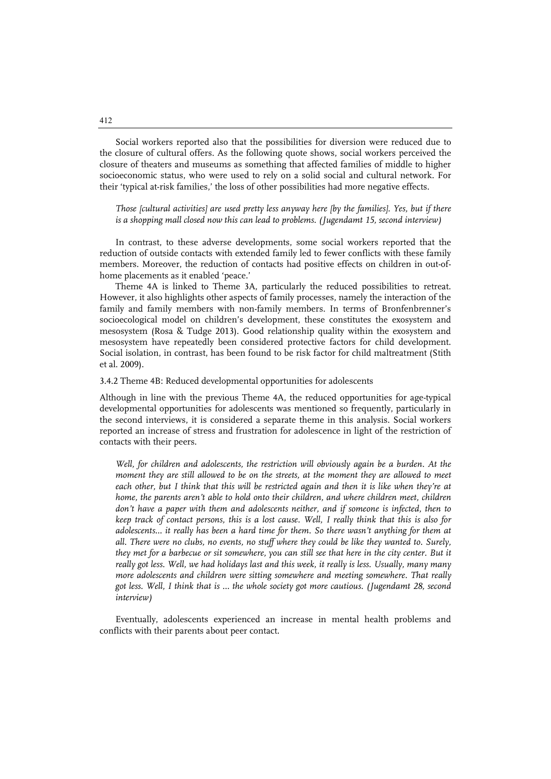Social workers reported also that the possibilities for diversion were reduced due to the closure of cultural offers. As the following quote shows, social workers perceived the closure of theaters and museums as something that affected families of middle to higher socioeconomic status, who were used to rely on a solid social and cultural network. For their 'typical at-risk families,' the loss of other possibilities had more negative effects.

*Those [cultural activities] are used pretty less anyway here [by the families]. Yes, but if there is a shopping mall closed now this can lead to problems. (Jugendamt 15, second interview)*

In contrast, to these adverse developments, some social workers reported that the reduction of outside contacts with extended family led to fewer conflicts with these family members. Moreover, the reduction of contacts had positive effects on children in out-ofhome placements as it enabled 'peace.'

Theme 4A is linked to Theme 3A, particularly the reduced possibilities to retreat. However, it also highlights other aspects of family processes, namely the interaction of the family and family members with non-family members. In terms of Bronfenbrenner's socioecological model on children's development, these constitutes the exosystem and mesosystem (Rosa & Tudge 2013). Good relationship quality within the exosystem and mesosystem have repeatedly been considered protective factors for child development. Social isolation, in contrast, has been found to be risk factor for child maltreatment (Stith et al. 2009).

3.4.2 Theme 4B: Reduced developmental opportunities for adolescents

Although in line with the previous Theme 4A, the reduced opportunities for age-typical developmental opportunities for adolescents was mentioned so frequently, particularly in the second interviews, it is considered a separate theme in this analysis. Social workers reported an increase of stress and frustration for adolescence in light of the restriction of contacts with their peers.

*Well, for children and adolescents, the restriction will obviously again be a burden. At the moment they are still allowed to be on the streets, at the moment they are allowed to meet each other, but I think that this will be restricted again and then it is like when they're at home, the parents aren't able to hold onto their children, and where children meet, children*  don't have a paper with them and adolescents neither, and if someone is infected, then to *keep track of contact persons, this is a lost cause. Well, I really think that this is also for*  adolescents... it really has been a hard time for them. So there wasn't anything for them at *all. There were no clubs, no events, no stuff where they could be like they wanted to. Surely,*  they met for a barbecue or sit somewhere, you can still see that here in the city center. But it *really got less. Well, we had holidays last and this week, it really is less. Usually, many many more adolescents and children were sitting somewhere and meeting somewhere. That really got less. Well, I think that is … the whole society got more cautious. (Jugendamt 28, second interview)*

Eventually, adolescents experienced an increase in mental health problems and conflicts with their parents about peer contact.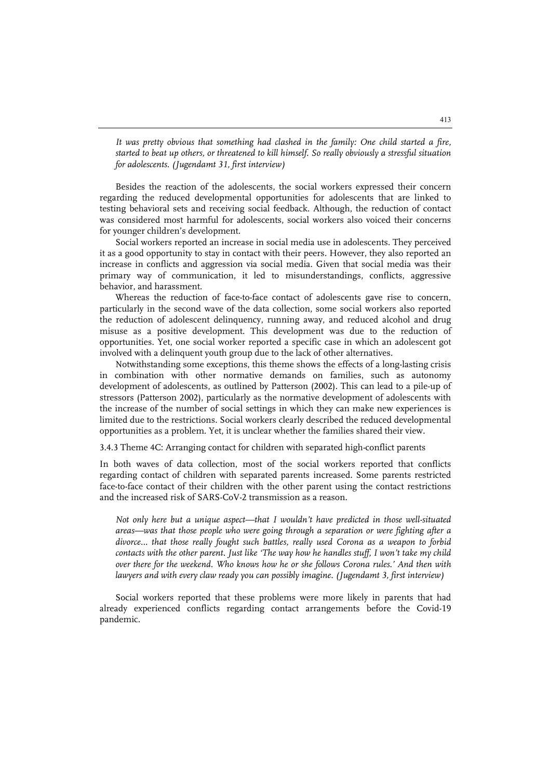*It was pretty obvious that something had clashed in the family: One child started a fire, started to beat up others, or threatened to kill himself. So really obviously a stressful situation for adolescents. (Jugendamt 31, first interview)*

Besides the reaction of the adolescents, the social workers expressed their concern regarding the reduced developmental opportunities for adolescents that are linked to testing behavioral sets and receiving social feedback. Although, the reduction of contact was considered most harmful for adolescents, social workers also voiced their concerns for younger children's development.

Social workers reported an increase in social media use in adolescents. They perceived it as a good opportunity to stay in contact with their peers. However, they also reported an increase in conflicts and aggression via social media. Given that social media was their primary way of communication, it led to misunderstandings, conflicts, aggressive behavior, and harassment.

Whereas the reduction of face-to-face contact of adolescents gave rise to concern, particularly in the second wave of the data collection, some social workers also reported the reduction of adolescent delinquency, running away, and reduced alcohol and drug misuse as a positive development. This development was due to the reduction of opportunities. Yet, one social worker reported a specific case in which an adolescent got involved with a delinquent youth group due to the lack of other alternatives.

Notwithstanding some exceptions, this theme shows the effects of a long-lasting crisis in combination with other normative demands on families, such as autonomy development of adolescents, as outlined by Patterson (2002). This can lead to a pile-up of stressors (Patterson 2002), particularly as the normative development of adolescents with the increase of the number of social settings in which they can make new experiences is limited due to the restrictions. Social workers clearly described the reduced developmental opportunities as a problem. Yet, it is unclear whether the families shared their view.

3.4.3 Theme 4C: Arranging contact for children with separated high-conflict parents

In both waves of data collection, most of the social workers reported that conflicts regarding contact of children with separated parents increased. Some parents restricted face-to-face contact of their children with the other parent using the contact restrictions and the increased risk of SARS-CoV-2 transmission as a reason.

*Not only here but a unique aspect—that I wouldn't have predicted in those well-situated areas—was that those people who were going through a separation or were fighting after a divorce… that those really fought such battles, really used Corona as a weapon to forbid contacts with the other parent. Just like 'The way how he handles stuff, I won't take my child over there for the weekend. Who knows how he or she follows Corona rules.' And then with lawyers and with every claw ready you can possibly imagine. (Jugendamt 3, first interview)*

Social workers reported that these problems were more likely in parents that had already experienced conflicts regarding contact arrangements before the Covid-19 pandemic.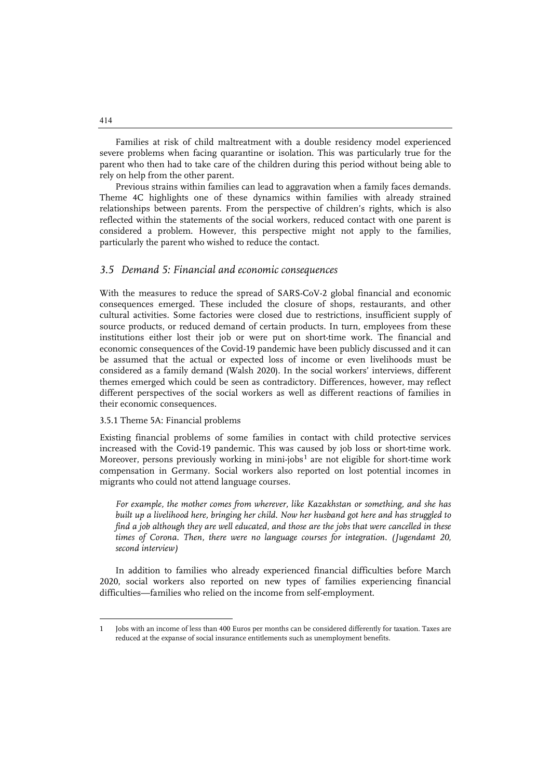Families at risk of child maltreatment with a double residency model experienced severe problems when facing quarantine or isolation. This was particularly true for the parent who then had to take care of the children during this period without being able to rely on help from the other parent.

Previous strains within families can lead to aggravation when a family faces demands. Theme 4C highlights one of these dynamics within families with already strained relationships between parents. From the perspective of children's rights, which is also reflected within the statements of the social workers, reduced contact with one parent is considered a problem. However, this perspective might not apply to the families, particularly the parent who wished to reduce the contact.

#### *3.5 Demand 5: Financial and economic consequences*

With the measures to reduce the spread of SARS-CoV-2 global financial and economic consequences emerged. These included the closure of shops, restaurants, and other cultural activities. Some factories were closed due to restrictions, insufficient supply of source products, or reduced demand of certain products. In turn, employees from these institutions either lost their job or were put on short-time work. The financial and economic consequences of the Covid-19 pandemic have been publicly discussed and it can be assumed that the actual or expected loss of income or even livelihoods must be considered as a family demand (Walsh 2020). In the social workers' interviews, different themes emerged which could be seen as contradictory. Differences, however, may reflect different perspectives of the social workers as well as different reactions of families in their economic consequences.

#### 3.5.1 Theme 5A: Financial problems

Existing financial problems of some families in contact with child protective services increased with the Covid-19 pandemic. This was caused by job loss or short-time work. Moreover, persons previously working in mini-jobs<sup>[1](#page-20-0)</sup> are not eligible for short-time work compensation in Germany. Social workers also reported on lost potential incomes in migrants who could not attend language courses.

*For example, the mother comes from wherever, like Kazakhstan or something, and she has built up a livelihood here, bringing her child. Now her husband got here and has struggled to find a job although they are well educated, and those are the jobs that were cancelled in these times of Corona. Then, there were no language courses for integration. (Jugendamt 20, second interview)*

In addition to families who already experienced financial difficulties before March 2020, social workers also reported on new types of families experiencing financial difficulties—families who relied on the income from self-employment.

j

<span id="page-20-0"></span><sup>1</sup> Jobs with an income of less than 400 Euros per months can be considered differently for taxation. Taxes are reduced at the expanse of social insurance entitlements such as unemployment benefits.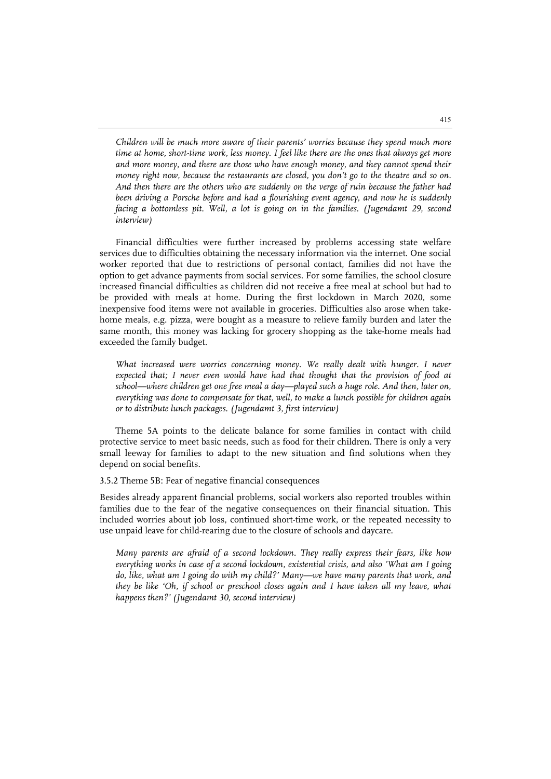*Children will be much more aware of their parents' worries because they spend much more time at home, short-time work, less money. I feel like there are the ones that always get more and more money, and there are those who have enough money, and they cannot spend their money right now, because the restaurants are closed, you don't go to the theatre and so on. And then there are the others who are suddenly on the verge of ruin because the father had*  been driving a Porsche before and had a flourishing event agency, and now he is suddenly *facing a bottomless pit. Well, a lot is going on in the families. (Jugendamt 29, second interview)*

Financial difficulties were further increased by problems accessing state welfare services due to difficulties obtaining the necessary information via the internet. One social worker reported that due to restrictions of personal contact, families did not have the option to get advance payments from social services. For some families, the school closure increased financial difficulties as children did not receive a free meal at school but had to be provided with meals at home. During the first lockdown in March 2020, some inexpensive food items were not available in groceries. Difficulties also arose when takehome meals, e.g. pizza, were bought as a measure to relieve family burden and later the same month, this money was lacking for grocery shopping as the take-home meals had exceeded the family budget.

What increased were worries concerning money. We really dealt with hunger. I never *expected that; I never even would have had that thought that the provision of food at school—where children get one free meal a day—played such a huge role. And then, later on, everything was done to compensate for that, well, to make a lunch possible for children again or to distribute lunch packages. (Jugendamt 3, first interview)*

Theme 5A points to the delicate balance for some families in contact with child protective service to meet basic needs, such as food for their children. There is only a very small leeway for families to adapt to the new situation and find solutions when they depend on social benefits.

#### 3.5.2 Theme 5B: Fear of negative financial consequences

Besides already apparent financial problems, social workers also reported troubles within families due to the fear of the negative consequences on their financial situation. This included worries about job loss, continued short-time work, or the repeated necessity to use unpaid leave for child-rearing due to the closure of schools and daycare.

*Many parents are afraid of a second lockdown. They really express their fears, like how everything works in case of a second lockdown, existential crisis, and also 'What am I going do, like, what am I going do with my child?' Many—we have many parents that work, and they be like 'Oh, if school or preschool closes again and I have taken all my leave, what happens then?' (Jugendamt 30, second interview)*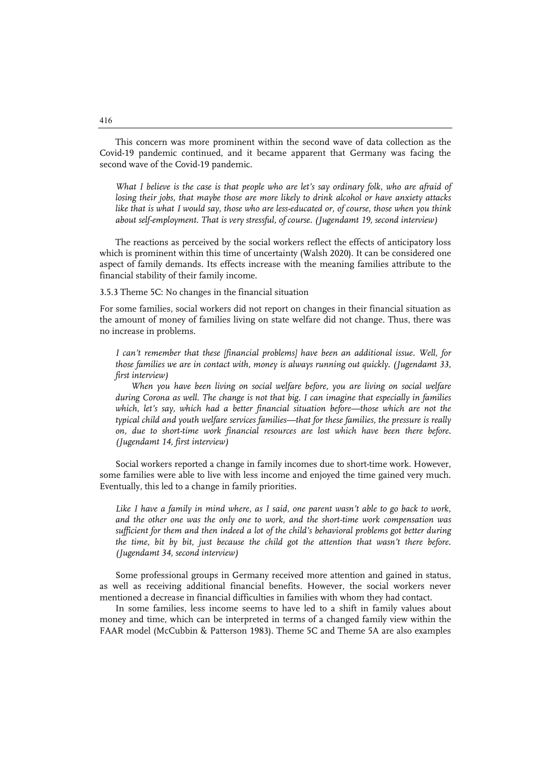This concern was more prominent within the second wave of data collection as the Covid-19 pandemic continued, and it became apparent that Germany was facing the second wave of the Covid-19 pandemic.

*What I believe is the case is that people who are let's say ordinary folk, who are afraid of losing their jobs, that maybe those are more likely to drink alcohol or have anxiety attacks like that is what I would say, those who are less-educated or, of course, those when you think about self-employment. That is very stressful, of course. (Jugendamt 19, second interview)*

The reactions as perceived by the social workers reflect the effects of anticipatory loss which is prominent within this time of uncertainty (Walsh 2020). It can be considered one aspect of family demands. Its effects increase with the meaning families attribute to the financial stability of their family income.

#### 3.5.3 Theme 5C: No changes in the financial situation

For some families, social workers did not report on changes in their financial situation as the amount of money of families living on state welfare did not change. Thus, there was no increase in problems.

*I can't remember that these [financial problems] have been an additional issue. Well, for those families we are in contact with, money is always running out quickly. (Jugendamt 33, first interview)*

*When you have been living on social welfare before, you are living on social welfare during Corona as well. The change is not that big. I can imagine that especially in families*  which, let's say, which had a better financial situation before—those which are not the *typical child and youth welfare services families—that for these families, the pressure is really on, due to short-time work financial resources are lost which have been there before. (Jugendamt 14, first interview)*

Social workers reported a change in family incomes due to short-time work. However, some families were able to live with less income and enjoyed the time gained very much. Eventually, this led to a change in family priorities.

Like I have a family in mind where, as I said, one parent wasn't able to go back to work, *and the other one was the only one to work, and the short-time work compensation was*  sufficient for them and then indeed a lot of the child's behavioral problems got better during *the time, bit by bit, just because the child got the attention that wasn't there before. (Jugendamt 34, second interview)*

Some professional groups in Germany received more attention and gained in status, as well as receiving additional financial benefits. However, the social workers never mentioned a decrease in financial difficulties in families with whom they had contact.

In some families, less income seems to have led to a shift in family values about money and time, which can be interpreted in terms of a changed family view within the FAAR model (McCubbin & Patterson 1983). Theme 5C and Theme 5A are also examples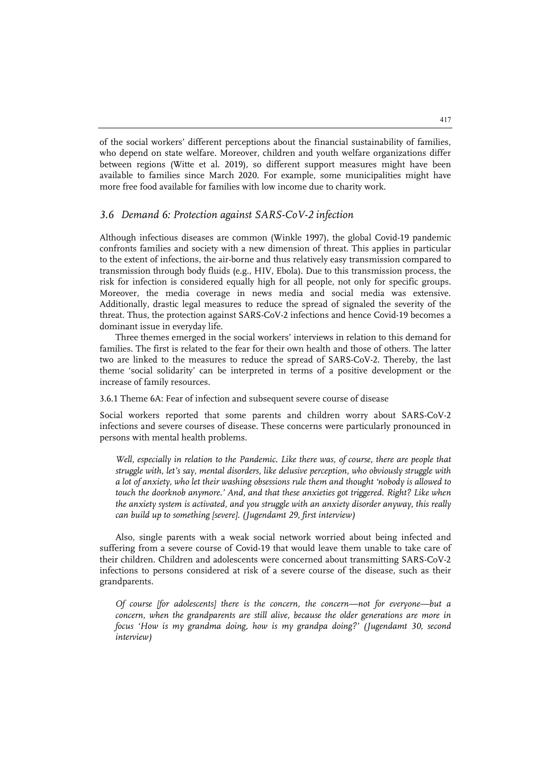of the social workers' different perceptions about the financial sustainability of families, who depend on state welfare. Moreover, children and youth welfare organizations differ between regions (Witte et al. 2019), so different support measures might have been available to families since March 2020. For example, some municipalities might have more free food available for families with low income due to charity work.

#### *3.6 Demand 6: Protection against SARS-CoV-2 infection*

Although infectious diseases are common (Winkle 1997), the global Covid-19 pandemic confronts families and society with a new dimension of threat. This applies in particular to the extent of infections, the air-borne and thus relatively easy transmission compared to transmission through body fluids (e.g., HIV, Ebola). Due to this transmission process, the risk for infection is considered equally high for all people, not only for specific groups. Moreover, the media coverage in news media and social media was extensive. Additionally, drastic legal measures to reduce the spread of signaled the severity of the threat. Thus, the protection against SARS-CoV-2 infections and hence Covid-19 becomes a dominant issue in everyday life.

Three themes emerged in the social workers' interviews in relation to this demand for families. The first is related to the fear for their own health and those of others. The latter two are linked to the measures to reduce the spread of SARS-CoV-2. Thereby, the last theme 'social solidarity' can be interpreted in terms of a positive development or the increase of family resources.

3.6.1 Theme 6A: Fear of infection and subsequent severe course of disease

Social workers reported that some parents and children worry about SARS-CoV-2 infections and severe courses of disease. These concerns were particularly pronounced in persons with mental health problems.

*Well, especially in relation to the Pandemic. Like there was, of course, there are people that struggle with, let's say, mental disorders, like delusive perception, who obviously struggle with a lot of anxiety, who let their washing obsessions rule them and thought 'nobody is allowed to touch the doorknob anymore.' And, and that these anxieties got triggered. Right? Like when the anxiety system is activated, and you struggle with an anxiety disorder anyway, this really can build up to something [severe]. (Jugendamt 29, first interview)*

Also, single parents with a weak social network worried about being infected and suffering from a severe course of Covid-19 that would leave them unable to take care of their children. Children and adolescents were concerned about transmitting SARS-CoV-2 infections to persons considered at risk of a severe course of the disease, such as their grandparents.

*Of course [for adolescents] there is the concern, the concern—not for everyone—but a concern, when the grandparents are still alive, because the older generations are more in focus 'How is my grandma doing, how is my grandpa doing?' (Jugendamt 30, second interview)*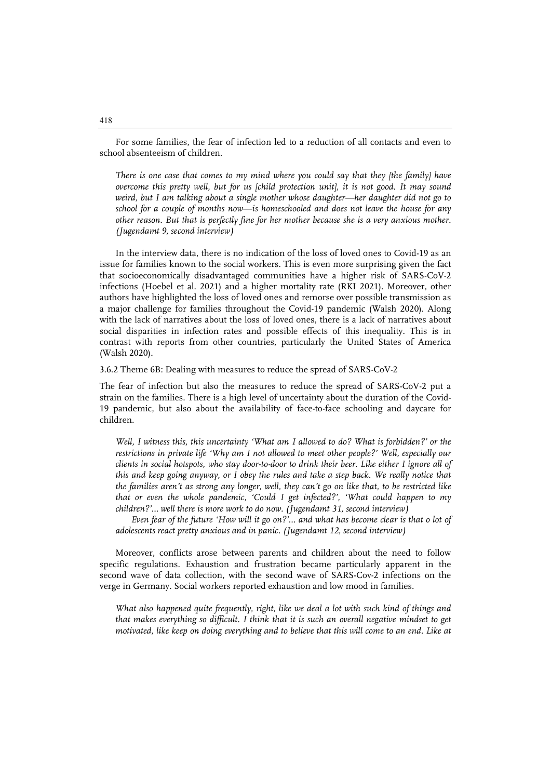For some families, the fear of infection led to a reduction of all contacts and even to school absenteeism of children.

*There is one case that comes to my mind where you could say that they [the family] have overcome this pretty well, but for us [child protection unit], it is not good. It may sound weird, but I am talking about a single mother whose daughter—her daughter did not go to school for a couple of months now—is homeschooled and does not leave the house for any other reason. But that is perfectly fine for her mother because she is a very anxious mother. (Jugendamt 9, second interview)*

In the interview data, there is no indication of the loss of loved ones to Covid-19 as an issue for families known to the social workers. This is even more surprising given the fact that socioeconomically disadvantaged communities have a higher risk of SARS-CoV-2 infections (Hoebel et al. 2021) and a higher mortality rate (RKI 2021). Moreover, other authors have highlighted the loss of loved ones and remorse over possible transmission as a major challenge for families throughout the Covid-19 pandemic (Walsh 2020). Along with the lack of narratives about the loss of loved ones, there is a lack of narratives about social disparities in infection rates and possible effects of this inequality. This is in contrast with reports from other countries, particularly the United States of America (Walsh 2020).

3.6.2 Theme 6B: Dealing with measures to reduce the spread of SARS-CoV-2

The fear of infection but also the measures to reduce the spread of SARS-CoV-2 put a strain on the families. There is a high level of uncertainty about the duration of the Covid-19 pandemic, but also about the availability of face-to-face schooling and daycare for children.

*Well, I witness this, this uncertainty 'What am I allowed to do? What is forbidden?' or the restrictions in private life 'Why am I not allowed to meet other people?' Well, especially our clients in social hotspots, who stay door-to-door to drink their beer. Like either I ignore all of this and keep going anyway, or I obey the rules and take a step back. We really notice that the families aren't as strong any longer, well, they can't go on like that, to be restricted like that or even the whole pandemic, 'Could I get infected?', 'What could happen to my children?'… well there is more work to do now. (Jugendamt 31, second interview)*

*Even fear of the future 'How will it go on?'… and what has become clear is that o lot of adolescents react pretty anxious and in panic. (Jugendamt 12, second interview)*

Moreover, conflicts arose between parents and children about the need to follow specific regulations. Exhaustion and frustration became particularly apparent in the second wave of data collection, with the second wave of SARS-Cov-2 infections on the verge in Germany. Social workers reported exhaustion and low mood in families.

*What also happened quite frequently, right, like we deal a lot with such kind of things and that makes everything so difficult. I think that it is such an overall negative mindset to get motivated, like keep on doing everything and to believe that this will come to an end. Like at*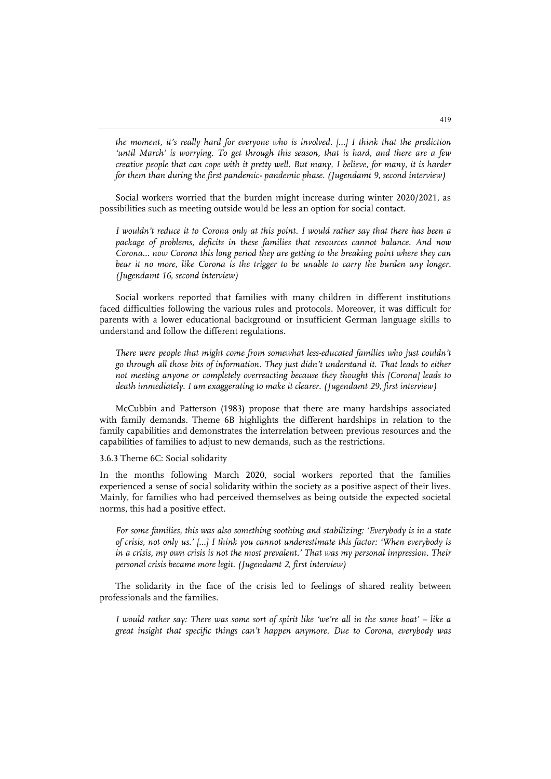*the moment, it's really hard for everyone who is involved. […] I think that the prediction 'until March' is worrying. To get through this season, that is hard, and there are a few creative people that can cope with it pretty well. But many, I believe, for many, it is harder for them than during the first pandemic- pandemic phase. (Jugendamt 9, second interview)*

Social workers worried that the burden might increase during winter 2020/2021, as possibilities such as meeting outside would be less an option for social contact.

*I wouldn't reduce it to Corona only at this point. I would rather say that there has been a package of problems, deficits in these families that resources cannot balance. And now Corona... now Corona this long period they are getting to the breaking point where they can*  bear it no more, like Corona is the trigger to be unable to carry the burden any longer. *(Jugendamt 16, second interview)*

Social workers reported that families with many children in different institutions faced difficulties following the various rules and protocols. Moreover, it was difficult for parents with a lower educational background or insufficient German language skills to understand and follow the different regulations.

*There were people that might come from somewhat less-educated families who just couldn't go through all those bits of information. They just didn't understand it. That leads to either not meeting anyone or completely overreacting because they thought this [Corona] leads to death immediately. I am exaggerating to make it clearer. (Jugendamt 29, first interview)*

McCubbin and Patterson (1983) propose that there are many hardships associated with family demands. Theme 6B highlights the different hardships in relation to the family capabilities and demonstrates the interrelation between previous resources and the capabilities of families to adjust to new demands, such as the restrictions.

3.6.3 Theme 6C: Social solidarity

In the months following March 2020, social workers reported that the families experienced a sense of social solidarity within the society as a positive aspect of their lives. Mainly, for families who had perceived themselves as being outside the expected societal norms, this had a positive effect.

*For some families, this was also something soothing and stabilizing: 'Everybody is in a state of crisis, not only us.' […] I think you cannot underestimate this factor: 'When everybody is in a crisis, my own crisis is not the most prevalent.' That was my personal impression. Their personal crisis became more legit. (Jugendamt 2, first interview)*

The solidarity in the face of the crisis led to feelings of shared reality between professionals and the families.

*I would rather say: There was some sort of spirit like 'we're all in the same boat' – like a great insight that specific things can't happen anymore. Due to Corona, everybody was*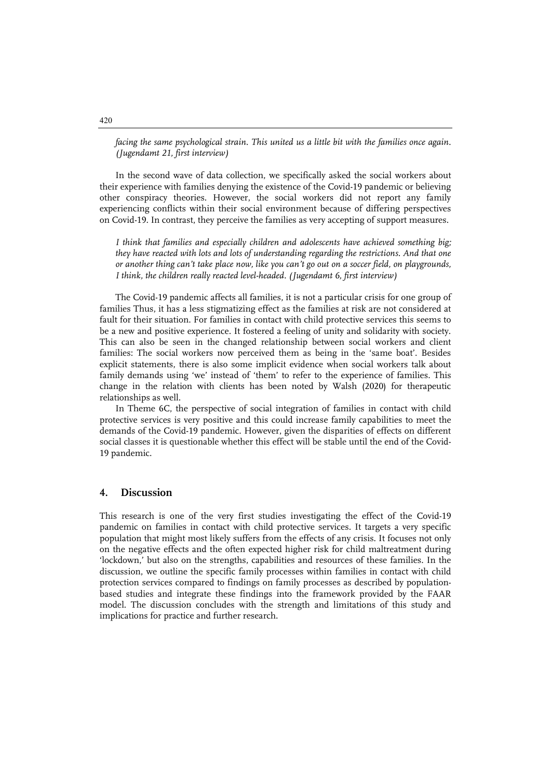*facing the same psychological strain. This united us a little bit with the families once again. (Jugendamt 21, first interview)*

In the second wave of data collection, we specifically asked the social workers about their experience with families denying the existence of the Covid-19 pandemic or believing other conspiracy theories. However, the social workers did not report any family experiencing conflicts within their social environment because of differing perspectives on Covid-19. In contrast, they perceive the families as very accepting of support measures.

*I think that families and especially children and adolescents have achieved something big; they have reacted with lots and lots of understanding regarding the restrictions. And that one or another thing can't take place now, like you can't go out on a soccer field, on playgrounds, I think, the children really reacted level-headed. (Jugendamt 6, first interview)*

The Covid-19 pandemic affects all families, it is not a particular crisis for one group of families Thus, it has a less stigmatizing effect as the families at risk are not considered at fault for their situation. For families in contact with child protective services this seems to be a new and positive experience. It fostered a feeling of unity and solidarity with society. This can also be seen in the changed relationship between social workers and client families: The social workers now perceived them as being in the 'same boat'. Besides explicit statements, there is also some implicit evidence when social workers talk about family demands using 'we' instead of 'them' to refer to the experience of families. This change in the relation with clients has been noted by Walsh (2020) for therapeutic relationships as well.

In Theme 6C, the perspective of social integration of families in contact with child protective services is very positive and this could increase family capabilities to meet the demands of the Covid-19 pandemic. However, given the disparities of effects on different social classes it is questionable whether this effect will be stable until the end of the Covid-19 pandemic.

#### **4. Discussion**

This research is one of the very first studies investigating the effect of the Covid-19 pandemic on families in contact with child protective services. It targets a very specific population that might most likely suffers from the effects of any crisis. It focuses not only on the negative effects and the often expected higher risk for child maltreatment during 'lockdown,' but also on the strengths, capabilities and resources of these families. In the discussion, we outline the specific family processes within families in contact with child protection services compared to findings on family processes as described by populationbased studies and integrate these findings into the framework provided by the FAAR model. The discussion concludes with the strength and limitations of this study and implications for practice and further research.

#### 420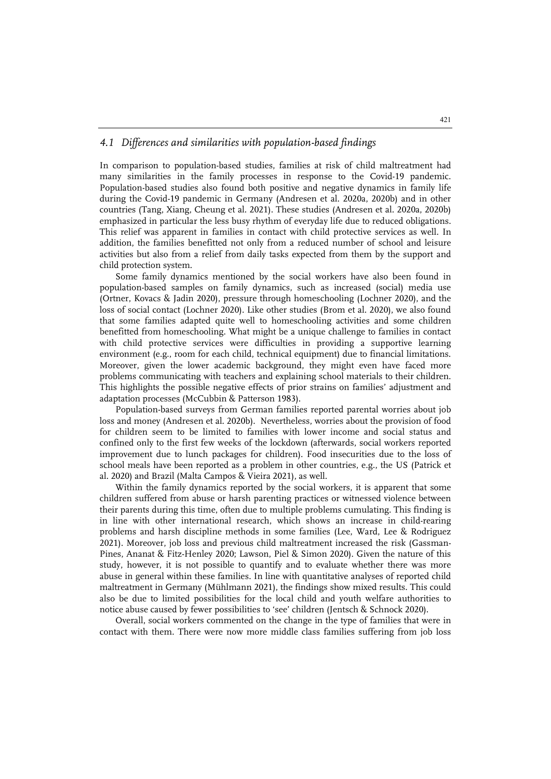#### *4.1 Differences and similarities with population-based findings*

In comparison to population-based studies, families at risk of child maltreatment had many similarities in the family processes in response to the Covid-19 pandemic. Population-based studies also found both positive and negative dynamics in family life during the Covid-19 pandemic in Germany (Andresen et al. 2020a, 2020b) and in other countries (Tang, Xiang, Cheung et al. 2021). These studies (Andresen et al. 2020a, 2020b) emphasized in particular the less busy rhythm of everyday life due to reduced obligations. This relief was apparent in families in contact with child protective services as well. In addition, the families benefitted not only from a reduced number of school and leisure activities but also from a relief from daily tasks expected from them by the support and child protection system.

Some family dynamics mentioned by the social workers have also been found in population-based samples on family dynamics, such as increased (social) media use (Ortner, Kovacs & Jadin 2020), pressure through homeschooling (Lochner 2020), and the loss of social contact (Lochner 2020). Like other studies (Brom et al. 2020), we also found that some families adapted quite well to homeschooling activities and some children benefitted from homeschooling. What might be a unique challenge to families in contact with child protective services were difficulties in providing a supportive learning environment (e.g., room for each child, technical equipment) due to financial limitations. Moreover, given the lower academic background, they might even have faced more problems communicating with teachers and explaining school materials to their children. This highlights the possible negative effects of prior strains on families' adjustment and adaptation processes (McCubbin & Patterson 1983).

Population-based surveys from German families reported parental worries about job loss and money (Andresen et al. 2020b). Nevertheless, worries about the provision of food for children seem to be limited to families with lower income and social status and confined only to the first few weeks of the lockdown (afterwards, social workers reported improvement due to lunch packages for children). Food insecurities due to the loss of school meals have been reported as a problem in other countries, e.g., the US (Patrick et al. 2020) and Brazil (Malta Campos & Vieira 2021), as well.

Within the family dynamics reported by the social workers, it is apparent that some children suffered from abuse or harsh parenting practices or witnessed violence between their parents during this time, often due to multiple problems cumulating. This finding is in line with other international research, which shows an increase in child-rearing problems and harsh discipline methods in some families (Lee, Ward, Lee & Rodriguez 2021). Moreover, job loss and previous child maltreatment increased the risk (Gassman-Pines, Ananat & Fitz-Henley 2020; Lawson, Piel & Simon 2020). Given the nature of this study, however, it is not possible to quantify and to evaluate whether there was more abuse in general within these families. In line with quantitative analyses of reported child maltreatment in Germany (Mühlmann 2021), the findings show mixed results. This could also be due to limited possibilities for the local child and youth welfare authorities to notice abuse caused by fewer possibilities to 'see' children (Jentsch & Schnock 2020).

Overall, social workers commented on the change in the type of families that were in contact with them. There were now more middle class families suffering from job loss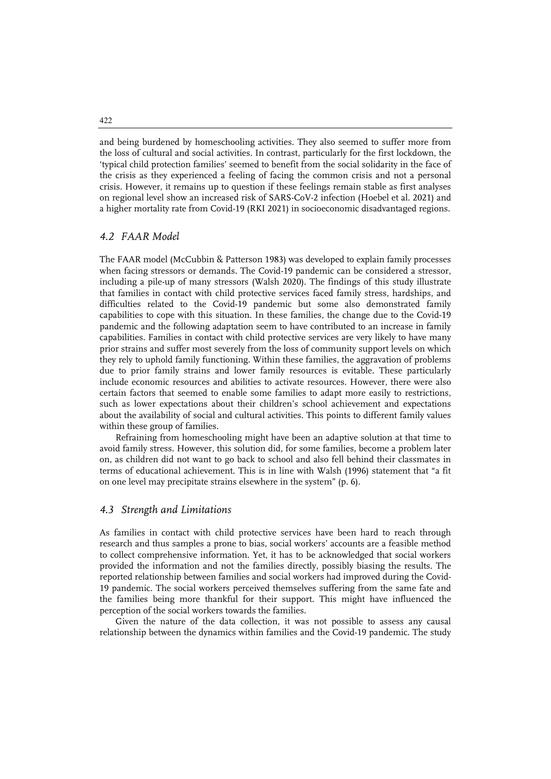and being burdened by homeschooling activities. They also seemed to suffer more from the loss of cultural and social activities. In contrast, particularly for the first lockdown, the 'typical child protection families' seemed to benefit from the social solidarity in the face of the crisis as they experienced a feeling of facing the common crisis and not a personal crisis. However, it remains up to question if these feelings remain stable as first analyses on regional level show an increased risk of SARS-CoV-2 infection (Hoebel et al. 2021) and a higher mortality rate from Covid-19 (RKI 2021) in socioeconomic disadvantaged regions.

#### *4.2 FAAR Model*

The FAAR model (McCubbin & Patterson 1983) was developed to explain family processes when facing stressors or demands. The Covid-19 pandemic can be considered a stressor, including a pile-up of many stressors (Walsh 2020). The findings of this study illustrate that families in contact with child protective services faced family stress, hardships, and difficulties related to the Covid-19 pandemic but some also demonstrated family capabilities to cope with this situation. In these families, the change due to the Covid-19 pandemic and the following adaptation seem to have contributed to an increase in family capabilities. Families in contact with child protective services are very likely to have many prior strains and suffer most severely from the loss of community support levels on which they rely to uphold family functioning. Within these families, the aggravation of problems due to prior family strains and lower family resources is evitable. These particularly include economic resources and abilities to activate resources. However, there were also certain factors that seemed to enable some families to adapt more easily to restrictions, such as lower expectations about their children's school achievement and expectations about the availability of social and cultural activities. This points to different family values within these group of families.

Refraining from homeschooling might have been an adaptive solution at that time to avoid family stress. However, this solution did, for some families, become a problem later on, as children did not want to go back to school and also fell behind their classmates in terms of educational achievement. This is in line with Walsh (1996) statement that "a fit on one level may precipitate strains elsewhere in the system" (p. 6).

#### *4.3 Strength and Limitations*

As families in contact with child protective services have been hard to reach through research and thus samples a prone to bias, social workers' accounts are a feasible method to collect comprehensive information. Yet, it has to be acknowledged that social workers provided the information and not the families directly, possibly biasing the results. The reported relationship between families and social workers had improved during the Covid-19 pandemic. The social workers perceived themselves suffering from the same fate and the families being more thankful for their support. This might have influenced the perception of the social workers towards the families.

Given the nature of the data collection, it was not possible to assess any causal relationship between the dynamics within families and the Covid-19 pandemic. The study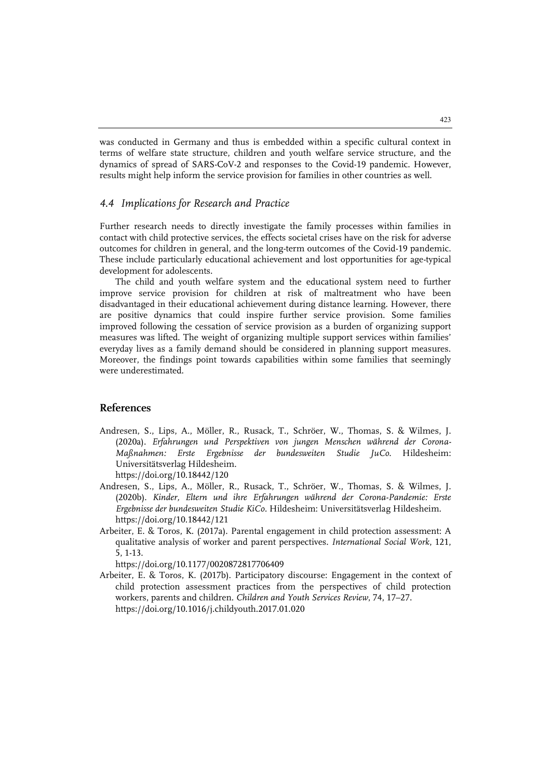was conducted in Germany and thus is embedded within a specific cultural context in terms of welfare state structure, children and youth welfare service structure, and the dynamics of spread of SARS-CoV-2 and responses to the Covid-19 pandemic. However, results might help inform the service provision for families in other countries as well.

#### *4.4 Implications for Research and Practice*

Further research needs to directly investigate the family processes within families in contact with child protective services, the effects societal crises have on the risk for adverse outcomes for children in general, and the long-term outcomes of the Covid-19 pandemic. These include particularly educational achievement and lost opportunities for age-typical development for adolescents.

The child and youth welfare system and the educational system need to further improve service provision for children at risk of maltreatment who have been disadvantaged in their educational achievement during distance learning. However, there are positive dynamics that could inspire further service provision. Some families improved following the cessation of service provision as a burden of organizing support measures was lifted. The weight of organizing multiple support services within families' everyday lives as a family demand should be considered in planning support measures. Moreover, the findings point towards capabilities within some families that seemingly were underestimated.

#### **References**

- Andresen, S., Lips, A., Möller, R., Rusack, T., Schröer, W., Thomas, S. & Wilmes, J. (2020a). *Erfahrungen und Perspektiven von jungen Menschen während der Corona-Maßnahmen: Erste Ergebnisse der bundesweiten Studie JuCo*. Hildesheim: Universitätsverlag Hildesheim. https://doi.org/10.18442/120
- Andresen, S., Lips, A., Möller, R., Rusack, T., Schröer, W., Thomas, S. & Wilmes, J. (2020b). *Kinder, Eltern und ihre Erfahrungen während der Corona-Pandemie: Erste Ergebnisse der bundesweiten Studie KiCo.* Hildesheim: Universitätsverlag Hildesheim. https://doi.org/10.18442/121
- Arbeiter, E. & Toros, K. (2017a). Parental engagement in child protection assessment: A qualitative analysis of worker and parent perspectives. *International Social Work*, 121, 5, 1-13.

https://doi.org/10.1177/0020872817706409

Arbeiter, E. & Toros, K. (2017b). Participatory discourse: Engagement in the context of child protection assessment practices from the perspectives of child protection workers, parents and children. *Children and Youth Services Review*, 74, 17–27. https://doi.org/10.1016/j.childyouth.2017.01.020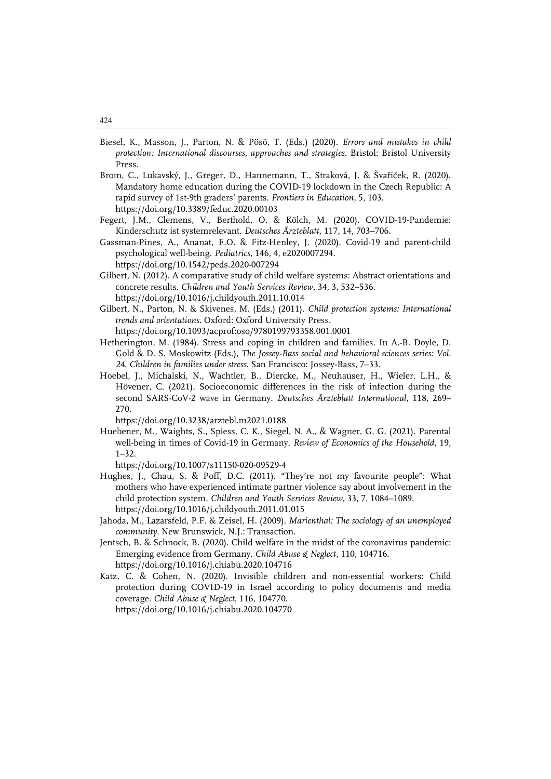- Biesel, K., Masson, J., Parton, N. & Pösö, T. (Eds.) (2020). *Errors and mistakes in child protection: International discourses, approaches and strategies.* Bristol: Bristol University Press.
- Brom, C., Lukavský, J., Greger, D., Hannemann, T., Straková, J. & Švaříček, R. (2020). Mandatory home education during the COVID-19 lockdown in the Czech Republic: A rapid survey of 1st-9th graders' parents. *Frontiers in Education*, 5, 103. https://doi.org/10.3389/feduc.2020.00103
- Fegert, J.M., Clemens, V., Berthold, O. & Kölch, M. (2020). COVID-19-Pandemie: Kinderschutz ist systemrelevant. *Deutsches Ärzteblatt,* 117, 14, 703–706.
- Gassman-Pines, A., Ananat, E.O. & Fitz-Henley, J. (2020). Covid-19 and parent-child psychological well-being. *Pediatrics*, 146, 4, e2020007294. https://doi.org/10.1542/peds.2020-007294
- Gilbert, N. (2012). A comparative study of child welfare systems: Abstract orientations and concrete results. *Children and Youth Services Review*, 34, 3, 532–536. https://doi.org/10.1016/j.childyouth.2011.10.014
- Gilbert, N., Parton, N. & Skivenes, M. (Eds.) (2011). *Child protection systems: International trends and orientations*. Oxford: Oxford University Press. https://doi.org/10.1093/acprof:oso/9780199793358.001.0001
- Hetherington, M. (1984). Stress and coping in children and families. In A.-B. Doyle, D. Gold & D. S. Moskowitz (Eds.), *The Jossey-Bass social and behavioral sciences series: Vol. 24. Children in families under stress*. San Francisco: Jossey-Bass, 7–33.
- Hoebel, J., Michalski, N., Wachtler, B., Diercke, M., Neuhauser, H., Wieler, L.H., & Hövener, C. (2021). Socioeconomic differences in the risk of infection during the second SARS-CoV-2 wave in Germany. *Deutsches Ärzteblatt International*, 118, 269– 270.

https://doi.org/10.3238/arztebl.m2021.0188

Huebener, M., Waights, S., Spiess, C. K., Siegel, N. A., & Wagner, G. G. (2021). Parental well-being in times of Covid-19 in Germany. *Review of Economics of the Household*, 19, 1–32.

https://doi.org/10.1007/s11150-020-09529-4

- Hughes, J., Chau, S. & Poff, D.C. (2011). "They're not my favourite people": What mothers who have experienced intimate partner violence say about involvement in the child protection system. *Children and Youth Services Review*, 33, 7, 1084–1089. https://doi.org/10.1016/j.childyouth.2011.01.015
- Jahoda, M., Lazarsfeld, P.F. & Zeisel, H. (2009). *Marienthal: The sociology of an unemployed community*. New Brunswick, N.J.: Transaction.
- Jentsch, B. & Schnock, B. (2020). Child welfare in the midst of the coronavirus pandemic: Emerging evidence from Germany. *Child Abuse & Neglect*, 110, 104716. https://doi.org/10.1016/j.chiabu.2020.104716
- Katz, C. & Cohen, N. (2020). Invisible children and non-essential workers: Child protection during COVID-19 in Israel according to policy documents and media coverage. *Child Abuse & Neglect*, 116, 104770. https://doi.org/10.1016/j.chiabu.2020.104770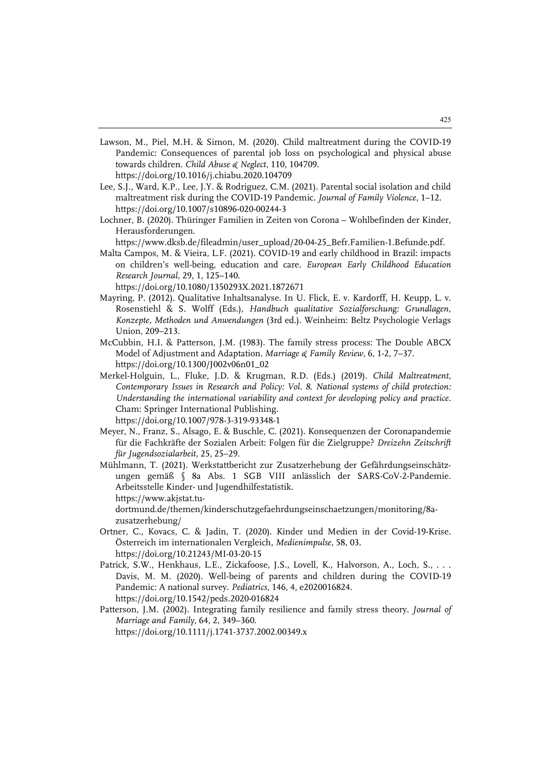- Lawson, M., Piel, M.H. & Simon, M. (2020). Child maltreatment during the COVID-19 Pandemic: Consequences of parental job loss on psychological and physical abuse towards children. *Child Abuse & Neglect*, 110, 104709. https://doi.org/10.1016/j.chiabu.2020.104709
- Lee, S.J., Ward, K.P., Lee, J.Y. & Rodriguez, C.M. (2021). Parental social isolation and child maltreatment risk during the COVID-19 Pandemic. *Journal of Family Violence*, 1–12. https://doi.org/10.1007/s10896-020-00244-3
- Lochner, B. (2020). Thüringer Familien in Zeiten von Corona Wohlbefinden der Kinder, Herausforderungen.

https://www.dksb.de/fileadmin/user\_upload/20-04-25\_Befr.Familien-1.Befunde.pdf.

Malta Campos, M. & Vieira, L.F. (2021). COVID-19 and early childhood in Brazil: impacts on children's well-being, education and care. *European Early Childhood Education Research Journal*, 29, 1, 125–140.

https://doi.org/10.1080/1350293X.2021.1872671

- Mayring, P. (2012). Qualitative Inhaltsanalyse. In U. Flick, E. v. Kardorff, H. Keupp, L. v. Rosenstiehl & S. Wolff (Eds.), *Handbuch qualitative Sozialforschung: Grundlagen, Konzepte, Methoden und Anwendungen* (3rd ed.). Weinheim: Beltz Psychologie Verlags Union, 209–213.
- McCubbin, H.I. & Patterson, J.M. (1983). The family stress process: The Double ABCX Model of Adjustment and Adaptation. *Marriage & Family Review*, 6, 1-2, 7–37. https://doi.org/10.1300/J002v06n01\_02
- Merkel-Holguin, L., Fluke, J.D. & Krugman, R.D. (Eds.) (2019). *Child Maltreatment, Contemporary Issues in Research and Policy: Vol. 8. National systems of child protection: Understanding the international variability and context for developing policy and practice.*  Cham: Springer International Publishing. https://doi.org/10.1007/978-3-319-93348-1
- Meyer, N., Franz, S., Alsago, E. & Buschle, C. (2021). Konsequenzen der Coronapandemie für die Fachkräfte der Sozialen Arbeit: Folgen für die Zielgruppe? *Dreizehn Zeitschrift für Jugendsozialarbeit*, 25, 25–29.
- Mühlmann, T. (2021). Werkstattbericht zur Zusatzerhebung der Gefährdungseinschätzungen gemäß § 8a Abs. 1 SGB VIII anlässlich der SARS-CoV-2-Pandemie. Arbeitsstelle Kinder- und Jugendhilfestatistik. https://www.akjstat.tu-

dortmund.de/themen/kinderschutzgefaehrdungseinschaetzungen/monitoring/8azusatzerhebung/

- Ortner, C., Kovacs, C. & Jadin, T. (2020). Kinder und Medien in der Covid-19-Krise. Österreich im internationalen Vergleich, *Medienimpulse*, 58, 03. https://doi.org/10.21243/MI-03-20-15
- Patrick, S.W., Henkhaus, L.E., Zickafoose, J.S., Lovell, K., Halvorson, A., Loch, S., . . . Davis, M. M. (2020). Well-being of parents and children during the COVID-19 Pandemic: A national survey. *Pediatrics*, 146, 4, e2020016824. https://doi.org/10.1542/peds.2020-016824
- Patterson, J.M. (2002). Integrating family resilience and family stress theory. *Journal of Marriage and Family*, 64, 2, 349–360. https://doi.org/10.1111/j.1741-3737.2002.00349.x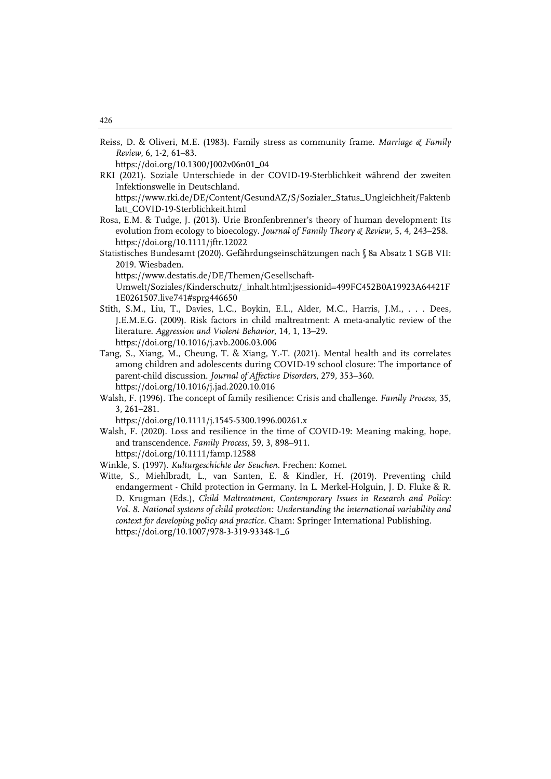Reiss, D. & Oliveri, M.E. (1983). Family stress as community frame. *Marriage & Family Review*, 6, 1-2, 61–83.

https://doi.org/10.1300/J002v06n01\_04

RKI (2021). Soziale Unterschiede in der COVID-19-Sterblichkeit während der zweiten Infektionswelle in Deutschland.

https://www.rki.de/DE/Content/GesundAZ/S/Sozialer\_Status\_Ungleichheit/Faktenb latt\_COVID-19-Sterblichkeit.html

- Rosa, E.M. & Tudge, J. (2013). Urie Bronfenbrenner's theory of human development: Its evolution from ecology to bioecology. *Journal of Family Theory & Review*, 5, 4, 243–258. https://doi.org/10.1111/jftr.12022
- Statistisches Bundesamt (2020). Gefährdungseinschätzungen nach § 8a Absatz 1 SGB VII: 2019. Wiesbaden.

https://www.destatis.de/DE/Themen/Gesellschaft-

Umwelt/Soziales/Kinderschutz/\_inhalt.html;jsessionid=499FC452B0A19923A64421F 1E0261507.live741#sprg446650

- Stith, S.M., Liu, T., Davies, L.C., Boykin, E.L., Alder, M.C., Harris, J.M., . . . Dees, J.E.M.E.G. (2009). Risk factors in child maltreatment: A meta-analytic review of the literature. *Aggression and Violent Behavior*, 14, 1, 13–29. https://doi.org/10.1016/j.avb.2006.03.006
- Tang, S., Xiang, M., Cheung, T. & Xiang, Y.-T. (2021). Mental health and its correlates among children and adolescents during COVID-19 school closure: The importance of parent-child discussion. *Journal of Affective Disorders*, 279, 353–360. https://doi.org/10.1016/j.jad.2020.10.016
- Walsh, F. (1996). The concept of family resilience: Crisis and challenge. *Family Process*, 35, 3, 261–281.

https://doi.org/10.1111/j.1545-5300.1996.00261.x

- Walsh, F. (2020). Loss and resilience in the time of COVID-19: Meaning making, hope, and transcendence. *Family Process*, 59, 3, 898–911. https://doi.org/10.1111/famp.12588
- Winkle, S. (1997). *Kulturgeschichte der Seuchen*. Frechen: Komet.
- Witte, S., Miehlbradt, L., van Santen, E. & Kindler, H. (2019). Preventing child endangerment - Child protection in Germany. In L. Merkel-Holguin, J. D. Fluke & R. D. Krugman (Eds.), *Child Maltreatment, Contemporary Issues in Research and Policy: Vol. 8. National systems of child protection: Understanding the international variability and context for developing policy and practice.* Cham: Springer International Publishing. https://doi.org/10.1007/978-3-319-93348-1\_6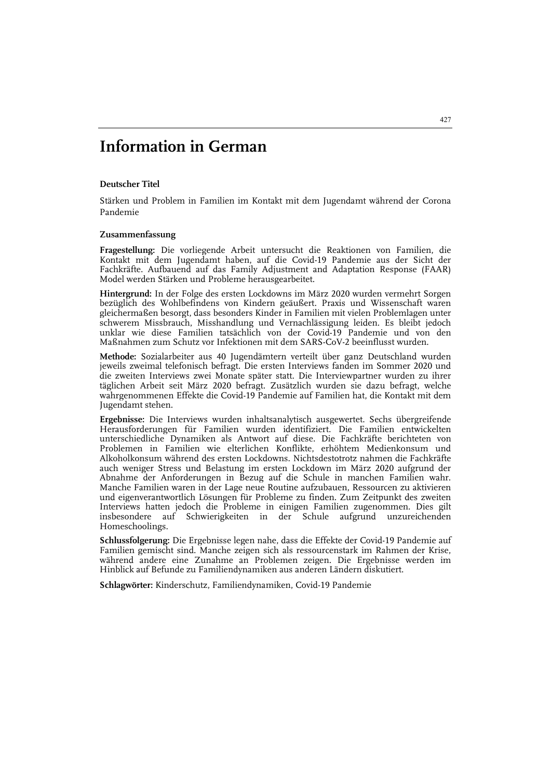## **Information in German**

#### **Deutscher Titel**

Stärken und Problem in Familien im Kontakt mit dem Jugendamt während der Corona Pandemie

#### **Zusammenfassung**

**Fragestellung:** Die vorliegende Arbeit untersucht die Reaktionen von Familien, die Kontakt mit dem Jugendamt haben, auf die Covid-19 Pandemie aus der Sicht der Fachkräfte. Aufbauend auf das Family Adjustment and Adaptation Response (FAAR) Model werden Stärken und Probleme herausgearbeitet.

**Hintergrund:** In der Folge des ersten Lockdowns im März 2020 wurden vermehrt Sorgen bezüglich des Wohlbefindens von Kindern geäußert. Praxis und Wissenschaft waren gleichermaßen besorgt, dass besonders Kinder in Familien mit vielen Problemlagen unter schwerem Missbrauch, Misshandlung und Vernachlässigung leiden. Es bleibt jedoch unklar wie diese Familien tatsächlich von der Covid-19 Pandemie und von den Maßnahmen zum Schutz vor Infektionen mit dem SARS-CoV-2 beeinflusst wurden.

**Methode:** Sozialarbeiter aus 40 Jugendämtern verteilt über ganz Deutschland wurden jeweils zweimal telefonisch befragt. Die ersten Interviews fanden im Sommer 2020 und die zweiten Interviews zwei Monate später statt. Die Interviewpartner wurden zu ihrer täglichen Arbeit seit März 2020 befragt. Zusätzlich wurden sie dazu befragt, welche wahrgenommenen Effekte die Covid-19 Pandemie auf Familien hat, die Kontakt mit dem Jugendamt stehen.

**Ergebnisse:** Die Interviews wurden inhaltsanalytisch ausgewertet. Sechs übergreifende Herausforderungen für Familien wurden identifiziert. Die Familien entwickelten unterschiedliche Dynamiken als Antwort auf diese. Die Fachkräfte berichteten von Problemen in Familien wie elterlichen Konflikte, erhöhtem Medienkonsum und Alkoholkonsum während des ersten Lockdowns. Nichtsdestotrotz nahmen die Fachkräfte auch weniger Stress und Belastung im ersten Lockdown im März 2020 aufgrund der Abnahme der Anforderungen in Bezug auf die Schule in manchen Familien wahr. Manche Familien waren in der Lage neue Routine aufzubauen, Ressourcen zu aktivieren und eigenverantwortlich Lösungen für Probleme zu finden. Zum Zeitpunkt des zweiten Interviews hatten jedoch die Probleme in einigen Familien zugenommen. Dies gilt insbesondere auf Schwierigkeiten in der Schule aufgrund unzureichenden Homeschoolings.

**Schlussfolgerung:** Die Ergebnisse legen nahe, dass die Effekte der Covid-19 Pandemie auf Familien gemischt sind. Manche zeigen sich als ressourcenstark im Rahmen der Krise, während andere eine Zunahme an Problemen zeigen. Die Ergebnisse werden im Hinblick auf Befunde zu Familiendynamiken aus anderen Ländern diskutiert.

**Schlagwörter:** Kinderschutz, Familiendynamiken, Covid-19 Pandemie